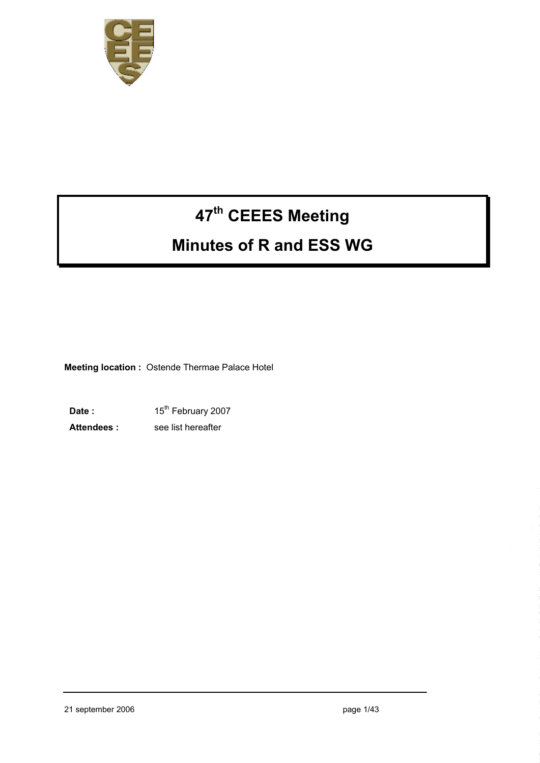

# **47th CEEES Meeting**

# **Minutes of R and ESS WG**

**Meeting location :** Ostende Thermae Palace Hotel

Date : 15<sup>th</sup> February 2007 **Attendees :** see list hereafter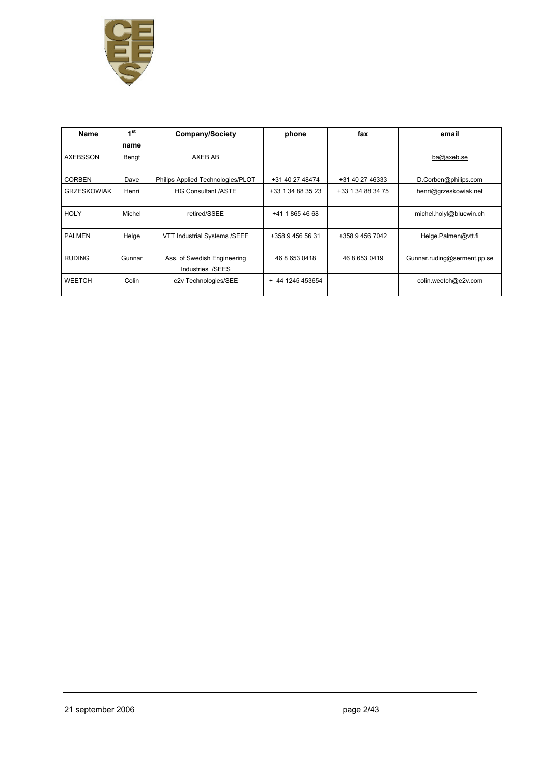

| Name               | 1 <sup>st</sup><br>name | <b>Company/Society</b>                          | phone             | fax               | email                       |
|--------------------|-------------------------|-------------------------------------------------|-------------------|-------------------|-----------------------------|
| AXEBSSON           | Bengt                   | AXEB AB                                         |                   |                   | ba@axeb.se                  |
| <b>CORBEN</b>      | Dave                    | Philips Applied Technologies/PLOT               | +31 40 27 48474   | +31 40 27 46333   | D.Corben@philips.com        |
| <b>GRZESKOWIAK</b> | Henri                   | <b>HG Consultant /ASTE</b>                      | +33 1 34 88 35 23 | +33 1 34 88 34 75 | henri@grzeskowiak.net       |
| <b>HOLY</b>        | Michel                  | retired/SSEE                                    | +41 1 865 46 68   |                   | michel.holyl@bluewin.ch     |
| <b>PALMEN</b>      | Helge                   | VTT Industrial Systems /SEEF                    | +358 9 456 56 31  | +358 9 456 7042   | Helge.Palmen@vtt.fi         |
| <b>RUDING</b>      | Gunnar                  | Ass. of Swedish Engineering<br>Industries /SEES | 46 8 653 0418     | 46 8 653 0419     | Gunnar.ruding@serment.pp.se |
| <b>WEETCH</b>      | Colin                   | e2v Technologies/SEE                            | + 44 1245 453654  |                   | colin.weetch@e2v.com        |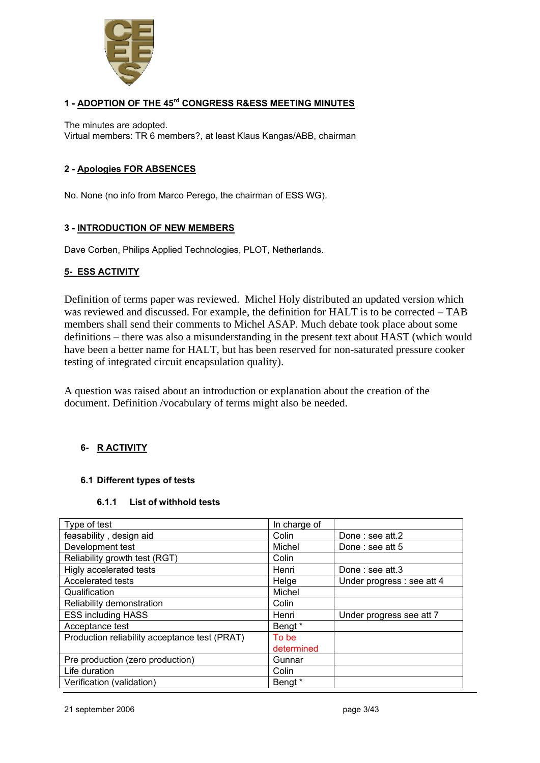

#### **1 - ADOPTION OF THE 45rd CONGRESS R&ESS MEETING MINUTES**

The minutes are adopted. Virtual members: TR 6 members?, at least Klaus Kangas/ABB, chairman

#### **2 - Apologies FOR ABSENCES**

No. None (no info from Marco Perego, the chairman of ESS WG).

#### **3 - INTRODUCTION OF NEW MEMBERS**

Dave Corben, Philips Applied Technologies, PLOT, Netherlands.

#### **5- ESS ACTIVITY**

Definition of terms paper was reviewed. Michel Holy distributed an updated version which was reviewed and discussed. For example, the definition for HALT is to be corrected – TAB members shall send their comments to Michel ASAP. Much debate took place about some definitions – there was also a misunderstanding in the present text about HAST (which would have been a better name for HALT, but has been reserved for non-saturated pressure cooker testing of integrated circuit encapsulation quality).

A question was raised about an introduction or explanation about the creation of the document. Definition /vocabulary of terms might also be needed.

#### **6- R ACTIVITY**

#### **6.1 Different types of tests**

#### **6.1.1 List of withhold tests**

| Type of test                                  | In charge of |                            |
|-----------------------------------------------|--------------|----------------------------|
| feasability, design aid                       | Colin        | Done: see att.2            |
| Development test                              | Michel       | Done: see att 5            |
| Reliability growth test (RGT)                 | Colin        |                            |
| Higly accelerated tests                       | Henri        | Done: see att.3            |
| Accelerated tests                             | Helge        | Under progress : see att 4 |
| Qualification                                 | Michel       |                            |
| Reliability demonstration                     | Colin        |                            |
| <b>ESS including HASS</b>                     | Henri        | Under progress see att 7   |
| Acceptance test                               | Bengt *      |                            |
| Production reliability acceptance test (PRAT) | To be        |                            |
|                                               | determined   |                            |
| Pre production (zero production)              | Gunnar       |                            |
| Life duration                                 | Colin        |                            |
| Verification (validation)                     | Bengt *      |                            |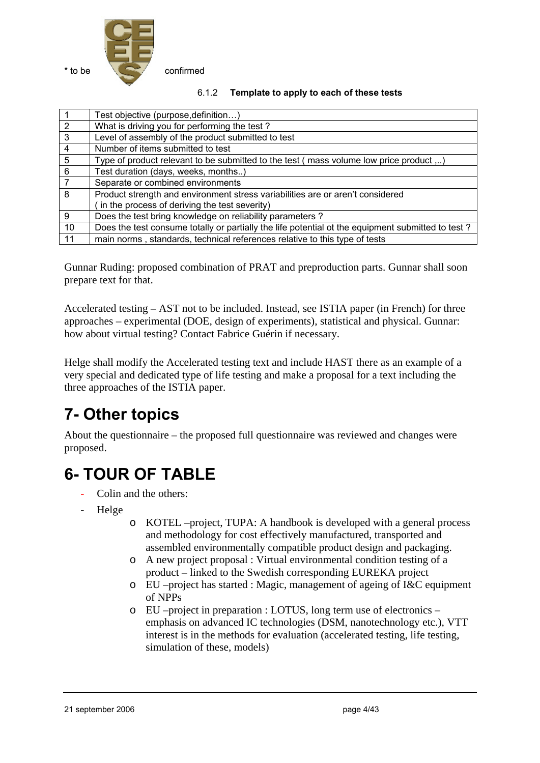

| 6.1.2 | Template to apply to each of these tests |
|-------|------------------------------------------|
|-------|------------------------------------------|

|                 | Test objective (purpose, definition)                                                              |
|-----------------|---------------------------------------------------------------------------------------------------|
| $\overline{2}$  | What is driving you for performing the test?                                                      |
| دی              | Level of assembly of the product submitted to test                                                |
| $\overline{4}$  | Number of items submitted to test                                                                 |
| $5\phantom{.0}$ | Type of product relevant to be submitted to the test (mass volume low price product )             |
| $\overline{6}$  | Test duration (days, weeks, months)                                                               |
| $\overline{7}$  | Separate or combined environments                                                                 |
| $\overline{8}$  | Product strength and environment stress variabilities are or aren't considered                    |
|                 | in the process of deriving the test severity)                                                     |
| 9               | Does the test bring knowledge on reliability parameters?                                          |
| 10              | Does the test consume totally or partially the life potential ot the equipment submitted to test? |
| 11              | main norms, standards, technical references relative to this type of tests                        |

Gunnar Ruding: proposed combination of PRAT and preproduction parts. Gunnar shall soon prepare text for that.

Accelerated testing – AST not to be included. Instead, see ISTIA paper (in French) for three approaches – experimental (DOE, design of experiments), statistical and physical. Gunnar: how about virtual testing? Contact Fabrice Guérin if necessary.

Helge shall modify the Accelerated testing text and include HAST there as an example of a very special and dedicated type of life testing and make a proposal for a text including the three approaches of the ISTIA paper.

# **7- Other topics**

About the questionnaire – the proposed full questionnaire was reviewed and changes were proposed.

# **6- TOUR OF TABLE**

- Colin and the others:
- Helge
- o KOTEL –project, TUPA: A handbook is developed with a general process and methodology for cost effectively manufactured, transported and assembled environmentally compatible product design and packaging.
- o A new project proposal : Virtual environmental condition testing of a product – linked to the Swedish corresponding EUREKA project
- o EU –project has started : Magic, management of ageing of I&C equipment of NPPs
- o EU –project in preparation : LOTUS, long term use of electronics emphasis on advanced IC technologies (DSM, nanotechnology etc.), VTT interest is in the methods for evaluation (accelerated testing, life testing, simulation of these, models)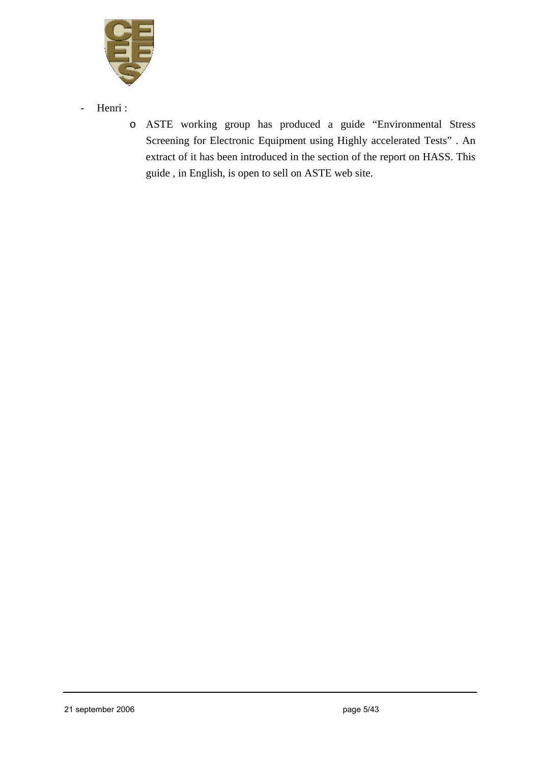

- Henri :
	- o ASTE working group has produced a guide "Environmental Stress Screening for Electronic Equipment using Highly accelerated Tests" . An extract of it has been introduced in the section of the report on HASS. This guide , in English, is open to sell on ASTE web site.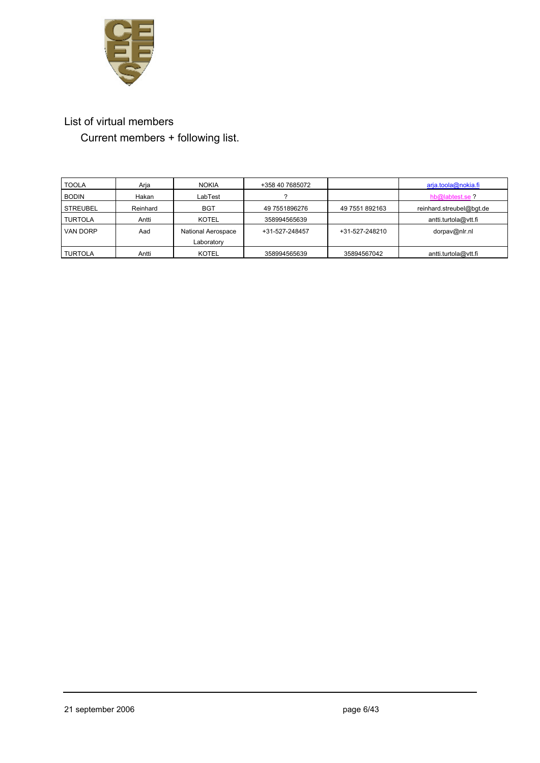

# List of virtual members

Current members + following list.

| <b>TOOLA</b>    | Arja     | <b>NOKIA</b>       | +358 40 7685072 |                | arja.toola@nokia.fi      |
|-----------------|----------|--------------------|-----------------|----------------|--------------------------|
| <b>BODIN</b>    | Hakan    | LabTest            |                 |                | hb@labtest.se?           |
| <b>STREUBEL</b> | Reinhard | <b>BGT</b>         | 49 7551896276   | 49 7551 892163 | reinhard.streubel@bqt.de |
| <b>TURTOLA</b>  | Antti    | <b>KOTEL</b>       | 358994565639    |                | antti.turtola@vtt.fi     |
| <b>VAN DORP</b> | Aad      | National Aerospace | +31-527-248457  | +31-527-248210 | dorpav@nlr.nl            |
|                 |          | Laboratory         |                 |                |                          |
| <b>TURTOLA</b>  | Antti    | <b>KOTEL</b>       | 358994565639    | 35894567042    | antti.turtola@vtt.fi     |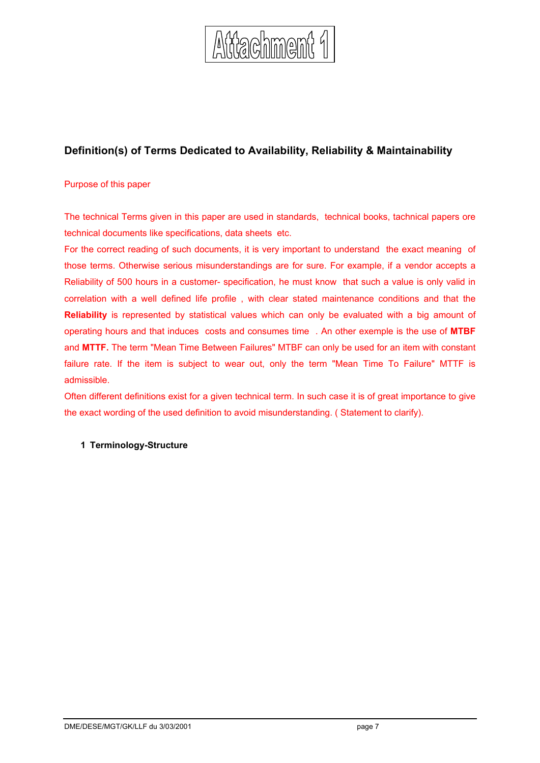

## **Definition(s) of Terms Dedicated to Availability, Reliability & Maintainability**

#### Purpose of this paper

The technical Terms given in this paper are used in standards, technical books, tachnical papers ore technical documents like specifications, data sheets etc.

For the correct reading of such documents, it is very important to understand the exact meaning of those terms. Otherwise serious misunderstandings are for sure. For example, if a vendor accepts a Reliability of 500 hours in a customer- specification, he must know that such a value is only valid in correlation with a well defined life profile , with clear stated maintenance conditions and that the **Reliability** is represented by statistical values which can only be evaluated with a big amount of operating hours and that induces costs and consumes time . An other exemple is the use of **MTBF** and **MTTF.** The term "Mean Time Between Failures" MTBF can only be used for an item with constant failure rate. If the item is subject to wear out, only the term "Mean Time To Failure" MTTF is admissible.

Often different definitions exist for a given technical term. In such case it is of great importance to give the exact wording of the used definition to avoid misunderstanding. ( Statement to clarify).

#### **1 Terminology-Structure**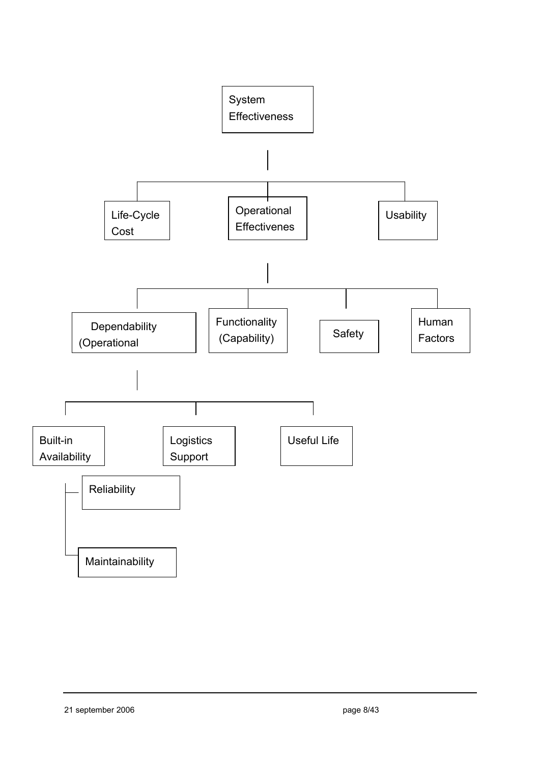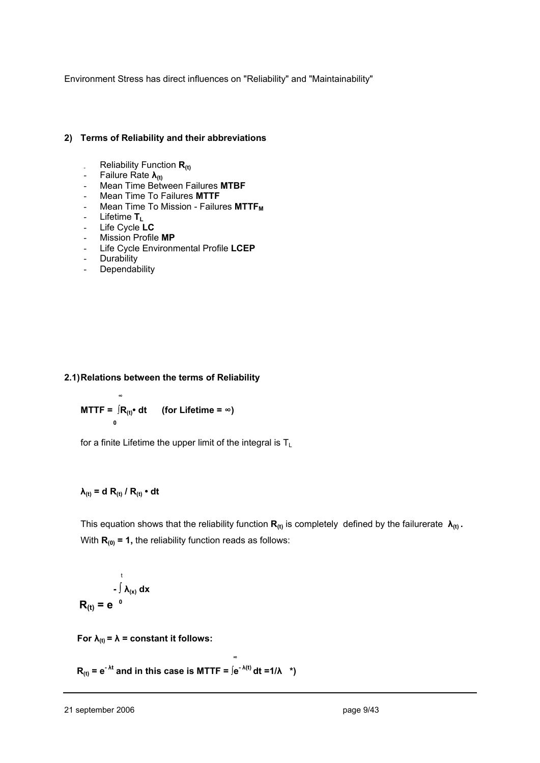Environment Stress has direct influences on "Reliability" and "Maintainability"

#### **2) Terms of Reliability and their abbreviations**

- Reliability Function R<sub>(t)</sub>
- Failure Rate **λ(t)**
- Mean Time Between Failures **MTBF**
- Mean Time To Failures **MTTF**
- Mean Time To Mission Failures MTTF<sub>M</sub>
- Lifetime **TL**
- Life Cycle **LC**
- Mission Profile **MP**
- Life Cycle Environmental Profile **LCEP**
- Durability
- **Dependability**

#### **2.1) Relations between the terms of Reliability**

$$
MTTF = \int_{0}^{\infty} R_{(t)} \cdot dt \qquad \text{(for Life time = } \infty\text{)}
$$

for a finite Lifetime the upper limit of the integral is  $T_L$ 

#### $\lambda$ <sub>(t)</sub> = d R<sub>(t)</sub> / R<sub>(t)</sub> • dt

This equation shows that the reliability function  $\mathbf{R}_{(t)}$  is completely defined by the failurerate  $\lambda_{(t)}$ . With  $R_{(0)} = 1$ , the reliability function reads as follows:

$$
\int_{-}^{t} \lambda_{(x)} dx
$$

$$
R_{(t)} = e^{-0}
$$

 **For**  $\lambda_{(t)} = \lambda$  **= constant it follows:** 

 **<sup>∞</sup>**

 $\mathbf{R}_{(t)} = e^{-\lambda t}$  and in this case is MTTF =  $\int e^{-\lambda(t)} dt = 1/\lambda$  \*)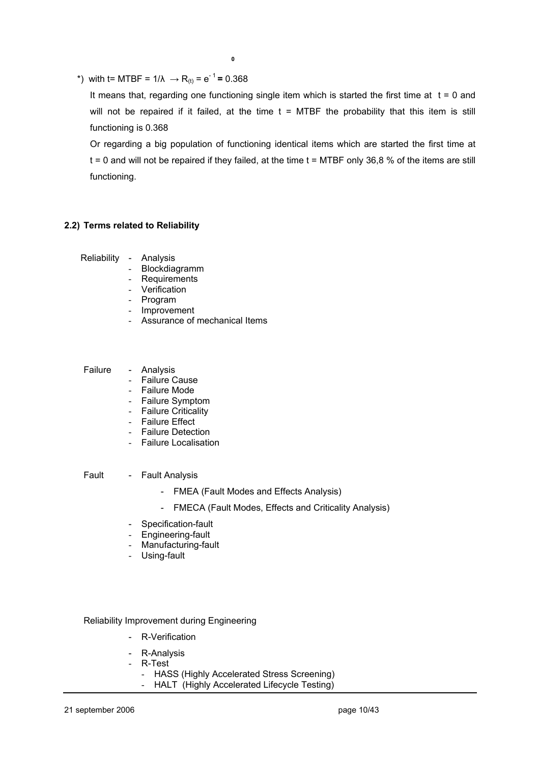\*) with t= MTBF =  $1/\lambda \rightarrow R_{(t)} = e^{-1} = 0.368$ 

It means that, regarding one functioning single item which is started the first time at  $t = 0$  and will not be repaired if it failed, at the time  $t = MTBF$  the probability that this item is still functioning is 0.368

 Or regarding a big population of functioning identical items which are started the first time at  $t = 0$  and will not be repaired if they failed, at the time  $t = MTBF$  only 36,8 % of the items are still functioning.

#### **2.2) Terms related to Reliability**

Reliability - Analysis

- **Blockdiagramm**
- **Requirements**
- **Verification**
- **Program**
- Improvement
- Assurance of mechanical Items

#### Failure - Analysis

- Failure Cause
- Failure Mode
- Failure Symptom
- Failure Criticality
- Failure Effect
- Failure Detection
- Failure Localisation

Fault - Fault Analysis

- FMEA (Fault Modes and Effects Analysis)
- FMECA (Fault Modes, Effects and Criticality Analysis)
- Specification-fault
- Engineering-fault
- Manufacturing-fault
- Using-fault

Reliability Improvement during Engineering

- R-Verification
- R-Analysis
- R-Test
	- HASS (Highly Accelerated Stress Screening)
	- HALT (Highly Accelerated Lifecycle Testing)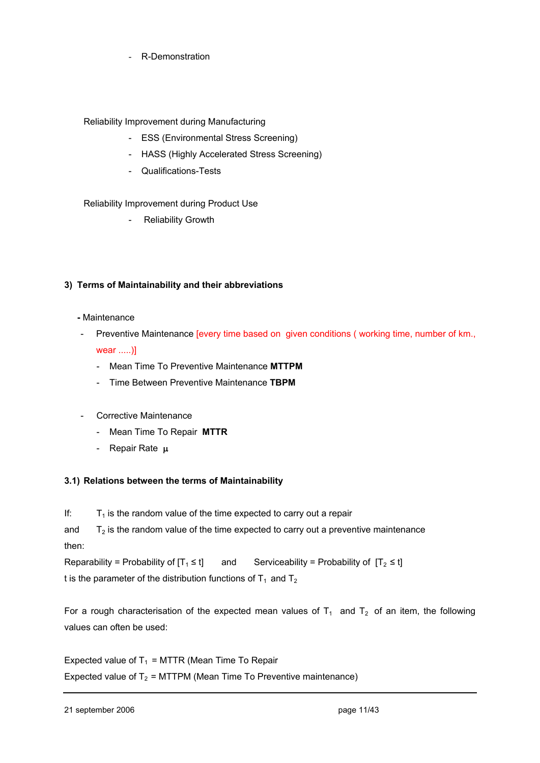R-Demonstration

#### Reliability Improvement during Manufacturing

- ESS (Environmental Stress Screening)
- HASS (Highly Accelerated Stress Screening)
- Qualifications-Tests

#### Reliability Improvement during Product Use

**Reliability Growth** 

#### **3) Terms of Maintainability and their abbreviations**

#### **-** Maintenance

- Preventive Maintenance [every time based on given conditions (working time, number of km., wear .....)]
	- Mean Time To Preventive Maintenance **MTTPM**
	- Time Between Preventive Maintenance **TBPM**
- Corrective Maintenance
	- Mean Time To Repair **MTTR**
	- Repair Rate μ

#### **3.1) Relations between the terms of Maintainability**

If:  $T_1$  is the random value of the time expected to carry out a repair

and  $T_2$  is the random value of the time expected to carry out a preventive maintenance then:

Reparability = Probability of  $[T_1 \le t]$  and Serviceability = Probability of  $[T_2 \le t]$ 

t is the parameter of the distribution functions of  $T_1$  and  $T_2$ 

For a rough characterisation of the expected mean values of  $T_1$  and  $T_2$  of an item, the following values can often be used:

Expected value of  $T_1$  = MTTR (Mean Time To Repair Expected value of  $T_2$  = MTTPM (Mean Time To Preventive maintenance)

21 september 2006 **page 11/43**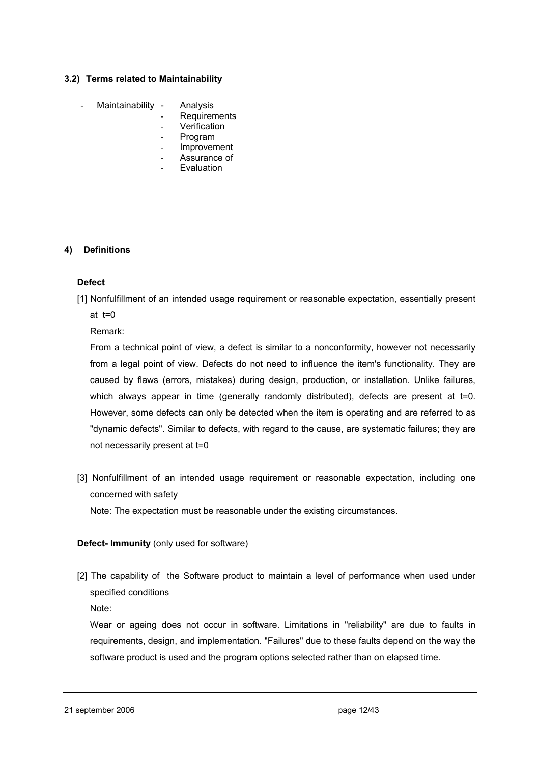#### **3.2) Terms related to Maintainability**

- Maintainability Analysis
	- **Requirements**
	- **Verification**
	- **Program**
	- **Improvement**
	- Assurance of
	- **Evaluation**

#### **4) Definitions**

#### **Defect**

[1] Nonfulfillment of an intended usage requirement or reasonable expectation, essentially present at t=0

Remark:

 From a technical point of view, a defect is similar to a nonconformity, however not necessarily from a legal point of view. Defects do not need to influence the item's functionality. They are caused by flaws (errors, mistakes) during design, production, or installation. Unlike failures, which always appear in time (generally randomly distributed), defects are present at  $t=0$ . However, some defects can only be detected when the item is operating and are referred to as "dynamic defects". Similar to defects, with regard to the cause, are systematic failures; they are not necessarily present at t=0

[3] Nonfulfillment of an intended usage requirement or reasonable expectation, including one concerned with safety

Note: The expectation must be reasonable under the existing circumstances.

#### **Defect- Immunity** (only used for software)

[2] The capability of the Software product to maintain a level of performance when used under specified conditions

Note:

Wear or ageing does not occur in software. Limitations in "reliability" are due to faults in requirements, design, and implementation. "Failures" due to these faults depend on the way the software product is used and the program options selected rather than on elapsed time.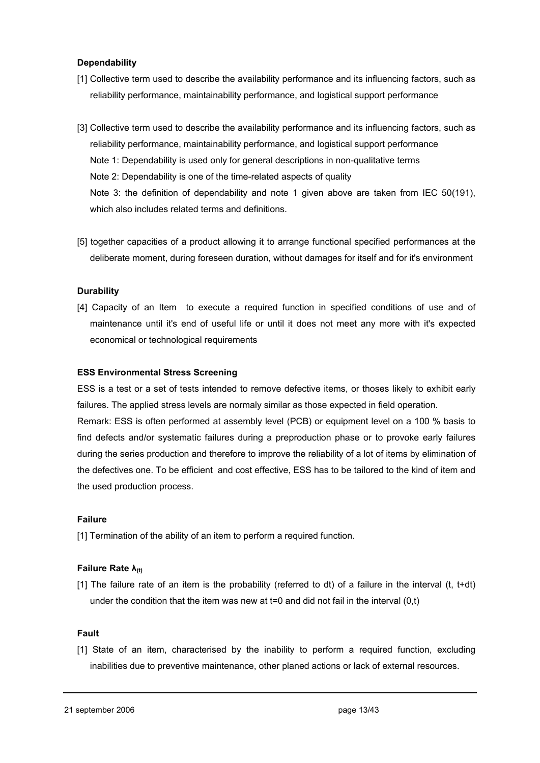#### **Dependability**

- [1] Collective term used to describe the availability performance and its influencing factors, such as reliability performance, maintainability performance, and logistical support performance
- [3] Collective term used to describe the availability performance and its influencing factors, such as reliability performance, maintainability performance, and logistical support performance Note 1: Dependability is used only for general descriptions in non-qualitative terms Note 2: Dependability is one of the time-related aspects of quality Note 3: the definition of dependability and note 1 given above are taken from IEC 50(191), which also includes related terms and definitions.
- [5] together capacities of a product allowing it to arrange functional specified performances at the deliberate moment, during foreseen duration, without damages for itself and for it's environment

#### **Durability**

[4] Capacity of an Item to execute a required function in specified conditions of use and of maintenance until it's end of useful life or until it does not meet any more with it's expected economical or technological requirements

#### **ESS Environmental Stress Screening**

ESS is a test or a set of tests intended to remove defective items, or thoses likely to exhibit early failures. The applied stress levels are normaly similar as those expected in field operation.

Remark: ESS is often performed at assembly level (PCB) or equipment level on a 100 % basis to find defects and/or systematic failures during a preproduction phase or to provoke early failures during the series production and therefore to improve the reliability of a lot of items by elimination of the defectives one. To be efficient and cost effective, ESS has to be tailored to the kind of item and the used production process.

#### **Failure**

[1] Termination of the ability of an item to perform a required function.

#### **Failure Rate λ(t)**

[1] The failure rate of an item is the probability (referred to dt) of a failure in the interval (t, t+dt) under the condition that the item was new at  $t=0$  and did not fail in the interval  $(0,t)$ 

#### **Fault**

[1] State of an item, characterised by the inability to perform a required function, excluding inabilities due to preventive maintenance, other planed actions or lack of external resources.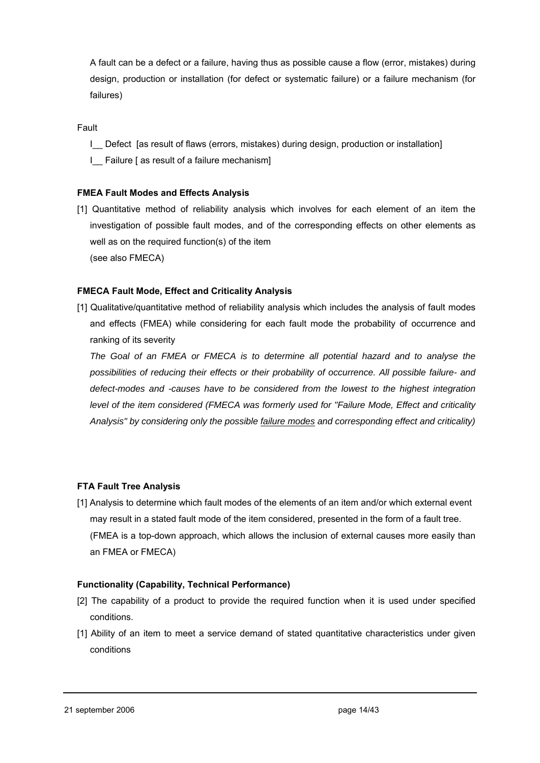A fault can be a defect or a failure, having thus as possible cause a flow (error, mistakes) during design, production or installation (for defect or systematic failure) or a failure mechanism (for failures)

Fault

- I Defect [as result of flaws (errors, mistakes) during design, production or installation]
- I\_\_ Failure [ as result of a failure mechanism]

#### **FMEA Fault Modes and Effects Analysis**

[1] Quantitative method of reliability analysis which involves for each element of an item the investigation of possible fault modes, and of the corresponding effects on other elements as well as on the required function(s) of the item (see also FMECA)

#### **FMECA Fault Mode, Effect and Criticality Analysis**

[1] Qualitative/quantitative method of reliability analysis which includes the analysis of fault modes and effects (FMEA) while considering for each fault mode the probability of occurrence and ranking of its severity

 *The Goal of an FMEA or FMECA is to determine all potential hazard and to analyse the possibilities of reducing their effects or their probability of occurrence. All possible failure- and defect-modes and -causes have to be considered from the lowest to the highest integration level of the item considered (FMECA was formerly used for "Failure Mode, Effect and criticality Analysis" by considering only the possible failure modes and corresponding effect and criticality)*

#### **FTA Fault Tree Analysis**

[1] Analysis to determine which fault modes of the elements of an item and/or which external event may result in a stated fault mode of the item considered, presented in the form of a fault tree. (FMEA is a top-down approach, which allows the inclusion of external causes more easily than an FMEA or FMECA)

#### **Functionality (Capability, Technical Performance)**

- [2] The capability of a product to provide the required function when it is used under specified conditions.
- [1] Ability of an item to meet a service demand of stated quantitative characteristics under given conditions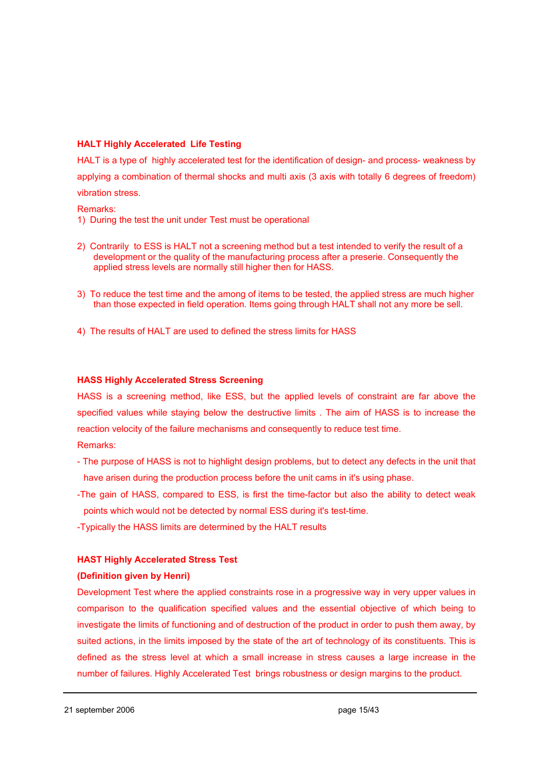#### **HALT Highly Accelerated Life Testing**

HALT is a type of highly accelerated test for the identification of design- and process- weakness by applying a combination of thermal shocks and multi axis (3 axis with totally 6 degrees of freedom) vibration stress.

#### Remarks:

- 1) During the test the unit under Test must be operational
- 2) Contrarily to ESS is HALT not a screening method but a test intended to verify the result of a development or the quality of the manufacturing process after a preserie. Consequently the applied stress levels are normally still higher then for HASS.
- 3) To reduce the test time and the among of items to be tested, the applied stress are much higher than those expected in field operation. Items going through HALT shall not any more be sell.
- 4) The results of HALT are used to defined the stress limits for HASS

#### **HASS Highly Accelerated Stress Screening**

HASS is a screening method, like ESS, but the applied levels of constraint are far above the specified values while staying below the destructive limits . The aim of HASS is to increase the reaction velocity of the failure mechanisms and consequently to reduce test time.

Remarks:

- The purpose of HASS is not to highlight design problems, but to detect any defects in the unit that have arisen during the production process before the unit cams in it's using phase.
- -The gain of HASS, compared to ESS, is first the time-factor but also the ability to detect weak points which would not be detected by normal ESS during it's test-time.
- -Typically the HASS limits are determined by the HALT results

#### **HAST Highly Accelerated Stress Test**

#### **(Definition given by Henri)**

Development Test where the applied constraints rose in a progressive way in very upper values in comparison to the qualification specified values and the essential objective of which being to investigate the limits of functioning and of destruction of the product in order to push them away, by suited actions, in the limits imposed by the state of the art of technology of its constituents. This is defined as the stress level at which a small increase in stress causes a large increase in the number of failures. Highly Accelerated Test brings robustness or design margins to the product.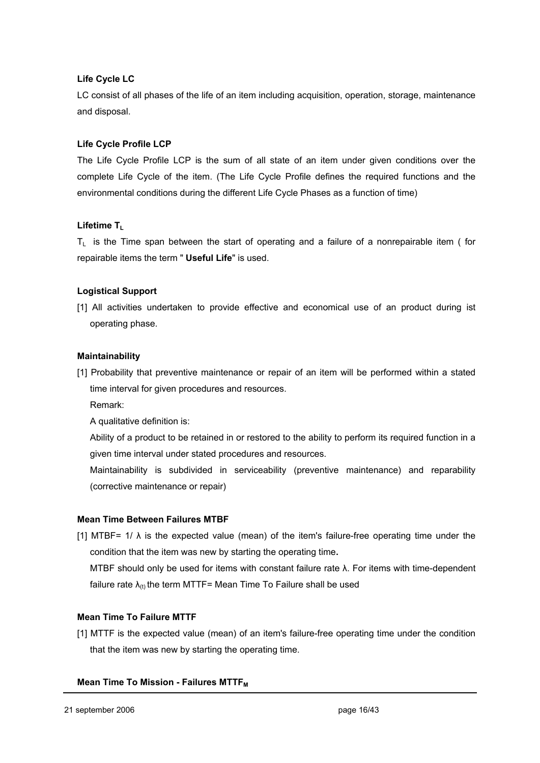#### **Life Cycle LC**

LC consist of all phases of the life of an item including acquisition, operation, storage, maintenance and disposal.

#### **Life Cycle Profile LCP**

The Life Cycle Profile LCP is the sum of all state of an item under given conditions over the complete Life Cycle of the item. (The Life Cycle Profile defines the required functions and the environmental conditions during the different Life Cycle Phases as a function of time)

#### Lifetime T<sub>L</sub>

 $T_L$  is the Time span between the start of operating and a failure of a nonrepairable item ( for repairable items the term " **Useful Life**" is used.

#### **Logistical Support**

[1] All activities undertaken to provide effective and economical use of an product during ist operating phase.

#### **Maintainability**

[1] Probability that preventive maintenance or repair of an item will be performed within a stated time interval for given procedures and resources.

Remark:

A qualitative definition is:

Ability of a product to be retained in or restored to the ability to perform its required function in a given time interval under stated procedures and resources.

Maintainability is subdivided in serviceability (preventive maintenance) and reparability (corrective maintenance or repair)

#### **Mean Time Between Failures MTBF**

[1] MTBF=  $1/\lambda$  is the expected value (mean) of the item's failure-free operating time under the condition that the item was new by starting the operating time**.** 

 MTBF should only be used for items with constant failure rate λ. For items with time-dependent failure rate  $\lambda_{(t)}$  the term MTTF= Mean Time To Failure shall be used

#### **Mean Time To Failure MTTF**

[1] MTTF is the expected value (mean) of an item's failure-free operating time under the condition that the item was new by starting the operating time.

#### **Mean Time To Mission - Failures MTTF<sub>M</sub>**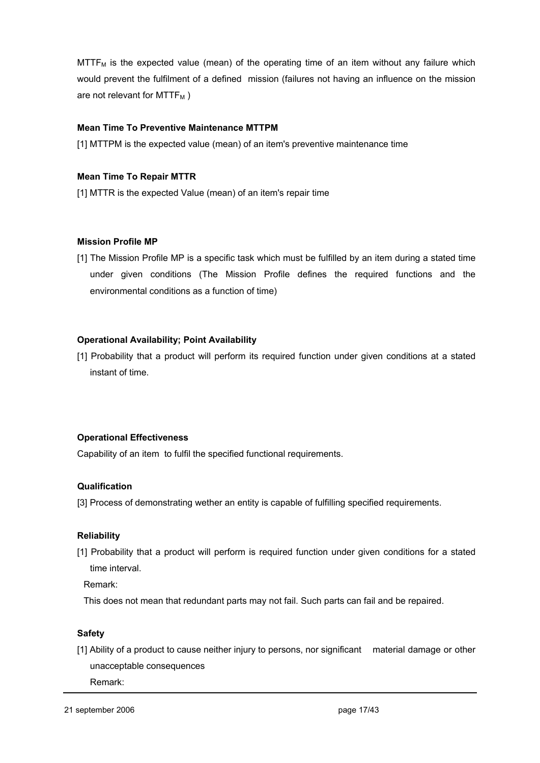$M$ TTF<sub>M</sub> is the expected value (mean) of the operating time of an item without any failure which would prevent the fulfilment of a defined mission (failures not having an influence on the mission are not relevant for  $MTTF_M$ )

#### **Mean Time To Preventive Maintenance MTTPM**

[1] MTTPM is the expected value (mean) of an item's preventive maintenance time

#### **Mean Time To Repair MTTR**

[1] MTTR is the expected Value (mean) of an item's repair time

#### **Mission Profile MP**

[1] The Mission Profile MP is a specific task which must be fulfilled by an item during a stated time under given conditions (The Mission Profile defines the required functions and the environmental conditions as a function of time)

#### **Operational Availability; Point Availability**

[1] Probability that a product will perform its required function under given conditions at a stated instant of time.

#### **Operational Effectiveness**

Capability of an item to fulfil the specified functional requirements.

#### **Qualification**

[3] Process of demonstrating wether an entity is capable of fulfilling specified requirements.

#### **Reliability**

[1] Probability that a product will perform is required function under given conditions for a stated time interval.

Remark:

This does not mean that redundant parts may not fail. Such parts can fail and be repaired.

#### **Safety**

[1] Ability of a product to cause neither injury to persons, nor significant material damage or other unacceptable consequences

Remark: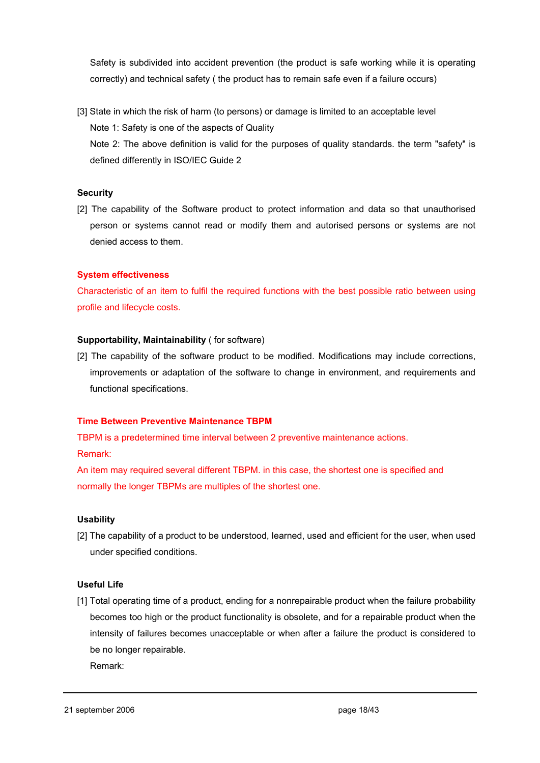Safety is subdivided into accident prevention (the product is safe working while it is operating correctly) and technical safety ( the product has to remain safe even if a failure occurs)

[3] State in which the risk of harm (to persons) or damage is limited to an acceptable level Note 1: Safety is one of the aspects of Quality Note 2: The above definition is valid for the purposes of quality standards. the term "safety" is defined differently in ISO/IEC Guide 2

#### **Security**

[2] The capability of the Software product to protect information and data so that unauthorised person or systems cannot read or modify them and autorised persons or systems are not denied access to them.

#### **System effectiveness**

Characteristic of an item to fulfil the required functions with the best possible ratio between using profile and lifecycle costs.

#### **Supportability, Maintainability** ( for software)

[2] The capability of the software product to be modified. Modifications may include corrections, improvements or adaptation of the software to change in environment, and requirements and functional specifications.

#### **Time Between Preventive Maintenance TBPM**

TBPM is a predetermined time interval between 2 preventive maintenance actions. Remark:

An item may required several different TBPM. in this case, the shortest one is specified and normally the longer TBPMs are multiples of the shortest one.

#### **Usability**

[2] The capability of a product to be understood, learned, used and efficient for the user, when used under specified conditions.

#### **Useful Life**

[1] Total operating time of a product, ending for a nonrepairable product when the failure probability becomes too high or the product functionality is obsolete, and for a repairable product when the intensity of failures becomes unacceptable or when after a failure the product is considered to be no longer repairable.

Remark: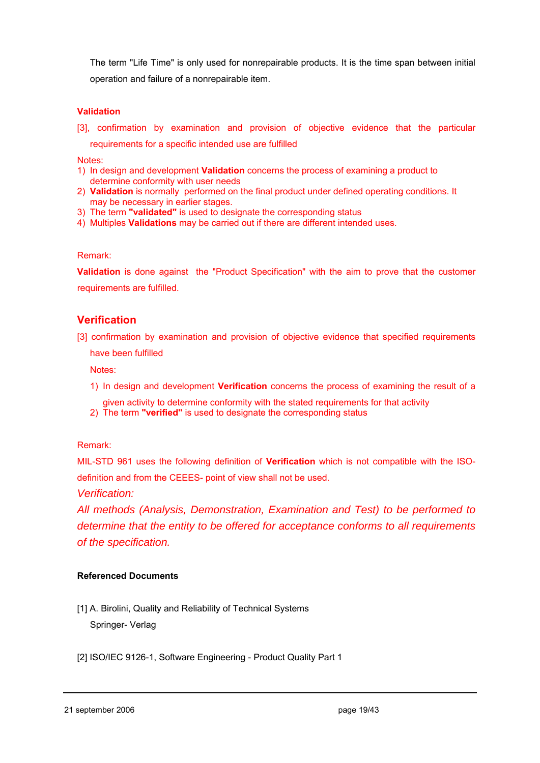The term "Life Time" is only used for nonrepairable products. It is the time span between initial operation and failure of a nonrepairable item.

#### **Validation**

[3], confirmation by examination and provision of objective evidence that the particular requirements for a specific intended use are fulfilled

Notes:

- 1) In design and development **Validation** concerns the process of examining a product to determine conformity with user needs
- 2) **Validation** is normally performed on the final product under defined operating conditions. It may be necessary in earlier stages.
- 3) The term **"validated"** is used to designate the corresponding status
- 4) Multiples **Validations** may be carried out if there are different intended uses.

#### Remark:

**Validation** is done against the "Product Specification" with the aim to prove that the customer requirements are fulfilled.

#### **Verification**

[3] confirmation by examination and provision of objective evidence that specified requirements

have been fulfilled

Notes:

1) In design and development **Verification** concerns the process of examining the result of a

given activity to determine conformity with the stated requirements for that activity 2) The term **"verified"** is used to designate the corresponding status

#### Remark:

MIL-STD 961 uses the following definition of **Verification** which is not compatible with the ISOdefinition and from the CEEES- point of view shall not be used.

*Verification:* 

*All methods (Analysis, Demonstration, Examination and Test) to be performed to determine that the entity to be offered for acceptance conforms to all requirements of the specification.*

#### **Referenced Documents**

[1] A. Birolini, Quality and Reliability of Technical Systems Springer- Verlag

[2] ISO/IEC 9126-1, Software Engineering - Product Quality Part 1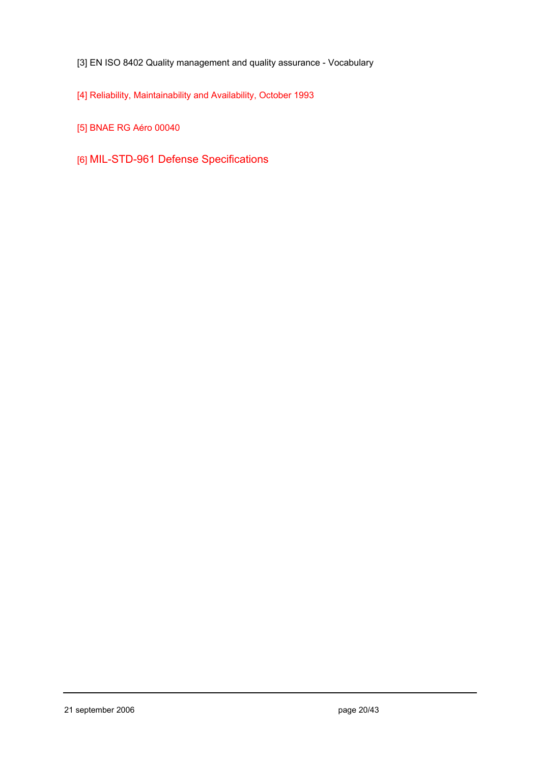- [3] EN ISO 8402 Quality management and quality assurance Vocabulary
- [4] Reliability, Maintainability and Availability, October 1993
- [5] BNAE RG Aéro 00040
- [6] MIL-STD-961 Defense Specifications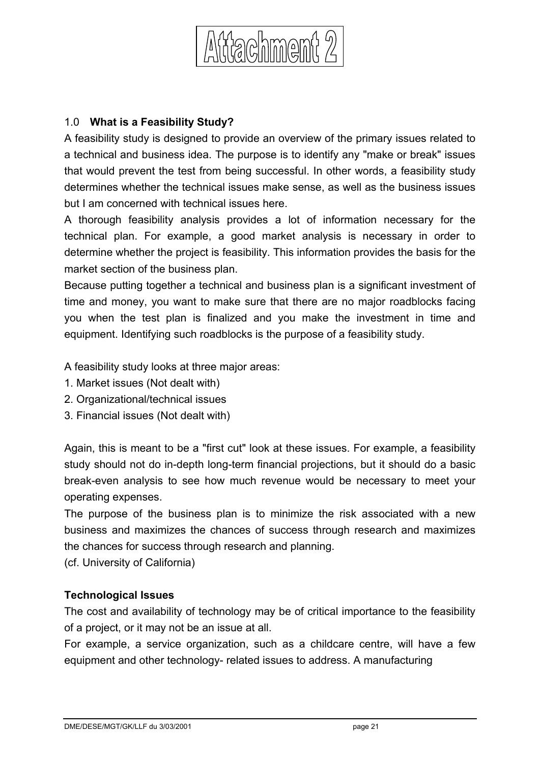

# 1.0 **What is a Feasibility Study?**

A feasibility study is designed to provide an overview of the primary issues related to a technical and business idea. The purpose is to identify any "make or break" issues that would prevent the test from being successful. In other words, a feasibility study determines whether the technical issues make sense, as well as the business issues but I am concerned with technical issues here.

A thorough feasibility analysis provides a lot of information necessary for the technical plan. For example, a good market analysis is necessary in order to determine whether the project is feasibility. This information provides the basis for the market section of the business plan.

Because putting together a technical and business plan is a significant investment of time and money, you want to make sure that there are no major roadblocks facing you when the test plan is finalized and you make the investment in time and equipment. Identifying such roadblocks is the purpose of a feasibility study.

A feasibility study looks at three major areas:

- 1. Market issues (Not dealt with)
- 2. Organizational/technical issues
- 3. Financial issues (Not dealt with)

Again, this is meant to be a "first cut" look at these issues. For example, a feasibility study should not do in-depth long-term financial projections, but it should do a basic break-even analysis to see how much revenue would be necessary to meet your operating expenses.

The purpose of the business plan is to minimize the risk associated with a new business and maximizes the chances of success through research and maximizes the chances for success through research and planning.

(cf. University of California)

## **Technological Issues**

The cost and availability of technology may be of critical importance to the feasibility of a project, or it may not be an issue at all.

For example, a service organization, such as a childcare centre, will have a few equipment and other technology- related issues to address. A manufacturing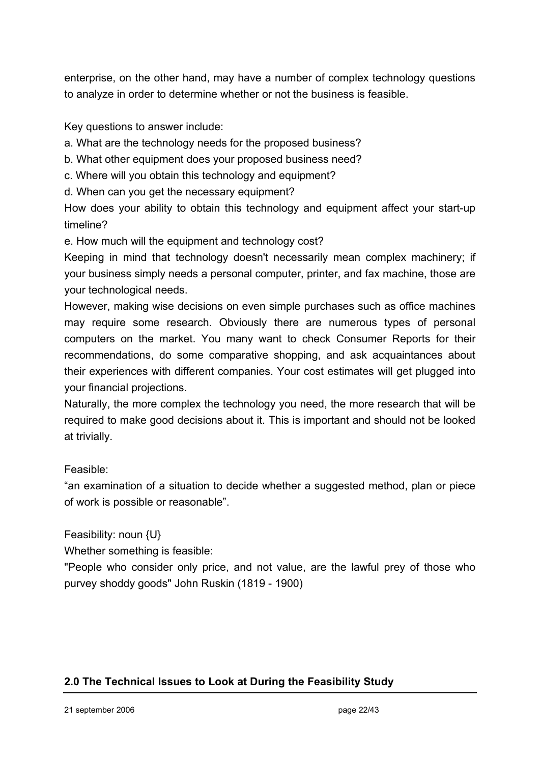enterprise, on the other hand, may have a number of complex technology questions to analyze in order to determine whether or not the business is feasible.

Key questions to answer include:

a. What are the technology needs for the proposed business?

- b. What other equipment does your proposed business need?
- c. Where will you obtain this technology and equipment?
- d. When can you get the necessary equipment?

How does your ability to obtain this technology and equipment affect your start-up timeline?

e. How much will the equipment and technology cost?

Keeping in mind that technology doesn't necessarily mean complex machinery; if your business simply needs a personal computer, printer, and fax machine, those are your technological needs.

However, making wise decisions on even simple purchases such as office machines may require some research. Obviously there are numerous types of personal computers on the market. You many want to check Consumer Reports for their recommendations, do some comparative shopping, and ask acquaintances about their experiences with different companies. Your cost estimates will get plugged into your financial projections.

Naturally, the more complex the technology you need, the more research that will be required to make good decisions about it. This is important and should not be looked at trivially.

# Feasible:

"an examination of a situation to decide whether a suggested method, plan or piece of work is possible or reasonable".

Feasibility: noun {U}

Whether something is feasible:

"People who consider only price, and not value, are the lawful prey of those who purvey shoddy goods" John Ruskin (1819 - 1900)

# **2.0 The Technical Issues to Look at During the Feasibility Study**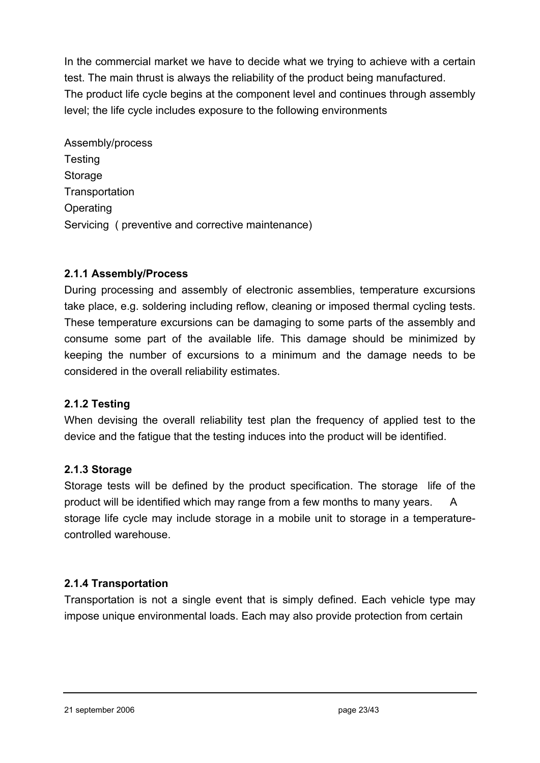In the commercial market we have to decide what we trying to achieve with a certain test. The main thrust is always the reliability of the product being manufactured. The product life cycle begins at the component level and continues through assembly level; the life cycle includes exposure to the following environments

Assembly/process **Testing** Storage **Transportation Operating** Servicing ( preventive and corrective maintenance)

## **2.1.1 Assembly/Process**

During processing and assembly of electronic assemblies, temperature excursions take place, e.g. soldering including reflow, cleaning or imposed thermal cycling tests. These temperature excursions can be damaging to some parts of the assembly and consume some part of the available life. This damage should be minimized by keeping the number of excursions to a minimum and the damage needs to be considered in the overall reliability estimates.

# **2.1.2 Testing**

When devising the overall reliability test plan the frequency of applied test to the device and the fatigue that the testing induces into the product will be identified.

## **2.1.3 Storage**

Storage tests will be defined by the product specification. The storage life of the product will be identified which may range from a few months to many years. A storage life cycle may include storage in a mobile unit to storage in a temperaturecontrolled warehouse.

# **2.1.4 Transportation**

Transportation is not a single event that is simply defined. Each vehicle type may impose unique environmental loads. Each may also provide protection from certain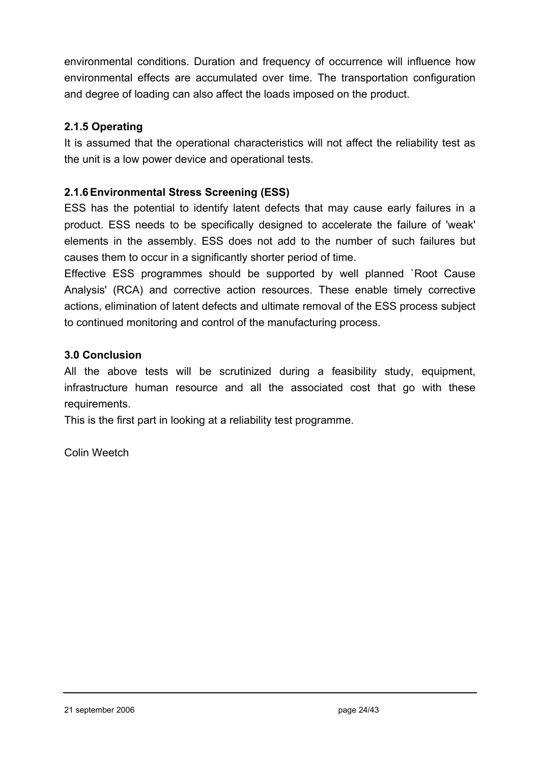environmental conditions. Duration and frequency of occurrence will influence how environmental effects are accumulated over time. The transportation configuration and degree of loading can also affect the loads imposed on the product.

# **2.1.5 Operating**

It is assumed that the operational characteristics will not affect the reliability test as the unit is a low power device and operational tests.

## **2.1.6 Environmental Stress Screening (ESS)**

ESS has the potential to identify latent defects that may cause early failures in a product. ESS needs to be specifically designed to accelerate the failure of 'weak' elements in the assembly. ESS does not add to the number of such failures but causes them to occur in a significantly shorter period of time.

Effective ESS programmes should be supported by well planned `Root Cause Analysis' (RCA) and corrective action resources. These enable timely corrective actions, elimination of latent defects and ultimate removal of the ESS process subject to continued monitoring and control of the manufacturing process.

## **3.0 Conclusion**

All the above tests will be scrutinized during a feasibility study, equipment, infrastructure human resource and all the associated cost that go with these requirements.

This is the first part in looking at a reliability test programme.

Colin Weetch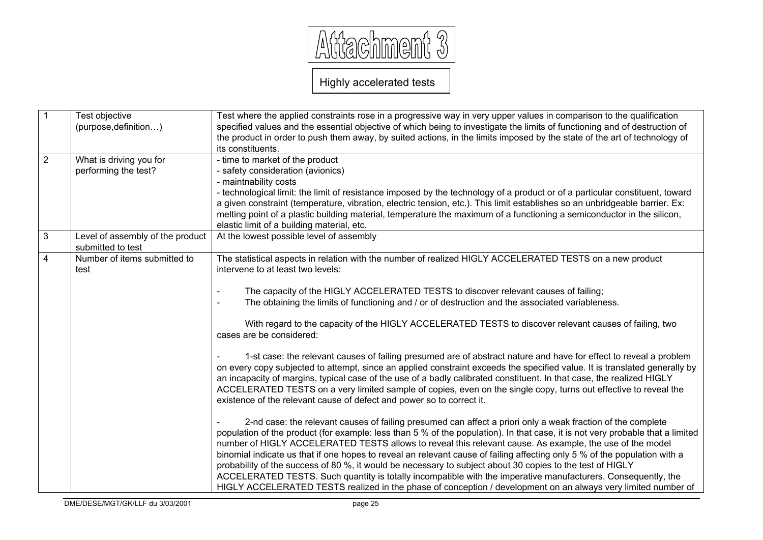

Highly accelerated tests

| $\overline{1}$ | Test objective<br>(purpose, definition)               | Test where the applied constraints rose in a progressive way in very upper values in comparison to the qualification<br>specified values and the essential objective of which being to investigate the limits of functioning and of destruction of<br>the product in order to push them away, by suited actions, in the limits imposed by the state of the art of technology of<br>its constituents.                                                                                                                                                                                                                                                                                                                                                                                                                                                                                                                                                                                                                                                                                                                                                                                                                                                                                                                                                                                                                                                                                                                                                                                                                                                                                                                                                                                                                                                                                             |
|----------------|-------------------------------------------------------|--------------------------------------------------------------------------------------------------------------------------------------------------------------------------------------------------------------------------------------------------------------------------------------------------------------------------------------------------------------------------------------------------------------------------------------------------------------------------------------------------------------------------------------------------------------------------------------------------------------------------------------------------------------------------------------------------------------------------------------------------------------------------------------------------------------------------------------------------------------------------------------------------------------------------------------------------------------------------------------------------------------------------------------------------------------------------------------------------------------------------------------------------------------------------------------------------------------------------------------------------------------------------------------------------------------------------------------------------------------------------------------------------------------------------------------------------------------------------------------------------------------------------------------------------------------------------------------------------------------------------------------------------------------------------------------------------------------------------------------------------------------------------------------------------------------------------------------------------------------------------------------------------|
| $\overline{2}$ | What is driving you for<br>performing the test?       | - time to market of the product<br>- safety consideration (avionics)<br>- maintnability costs<br>- technological limit: the limit of resistance imposed by the technology of a product or of a particular constituent, toward<br>a given constraint (temperature, vibration, electric tension, etc.). This limit establishes so an unbridgeable barrier. Ex:<br>melting point of a plastic building material, temperature the maximum of a functioning a semiconductor in the silicon,<br>elastic limit of a building material, etc.                                                                                                                                                                                                                                                                                                                                                                                                                                                                                                                                                                                                                                                                                                                                                                                                                                                                                                                                                                                                                                                                                                                                                                                                                                                                                                                                                             |
| $\overline{3}$ | Level of assembly of the product<br>submitted to test | At the lowest possible level of assembly                                                                                                                                                                                                                                                                                                                                                                                                                                                                                                                                                                                                                                                                                                                                                                                                                                                                                                                                                                                                                                                                                                                                                                                                                                                                                                                                                                                                                                                                                                                                                                                                                                                                                                                                                                                                                                                         |
| $\overline{4}$ | Number of items submitted to<br>test                  | The statistical aspects in relation with the number of realized HIGLY ACCELERATED TESTS on a new product<br>intervene to at least two levels:<br>The capacity of the HIGLY ACCELERATED TESTS to discover relevant causes of failing;<br>The obtaining the limits of functioning and / or of destruction and the associated variableness.<br>With regard to the capacity of the HIGLY ACCELERATED TESTS to discover relevant causes of failing, two<br>cases are be considered:<br>1-st case: the relevant causes of failing presumed are of abstract nature and have for effect to reveal a problem<br>on every copy subjected to attempt, since an applied constraint exceeds the specified value. It is translated generally by<br>an incapacity of margins, typical case of the use of a badly calibrated constituent. In that case, the realized HIGLY<br>ACCELERATED TESTS on a very limited sample of copies, even on the single copy, turns out effective to reveal the<br>existence of the relevant cause of defect and power so to correct it.<br>2-nd case: the relevant causes of failing presumed can affect a priori only a weak fraction of the complete<br>population of the product (for example: less than 5 % of the population). In that case, it is not very probable that a limited<br>number of HIGLY ACCELERATED TESTS allows to reveal this relevant cause. As example, the use of the model<br>binomial indicate us that if one hopes to reveal an relevant cause of failing affecting only 5 % of the population with a<br>probability of the success of 80 %, it would be necessary to subject about 30 copies to the test of HIGLY<br>ACCELERATED TESTS. Such quantity is totally incompatible with the imperative manufacturers. Consequently, the<br>HIGLY ACCELERATED TESTS realized in the phase of conception / development on an always very limited number of |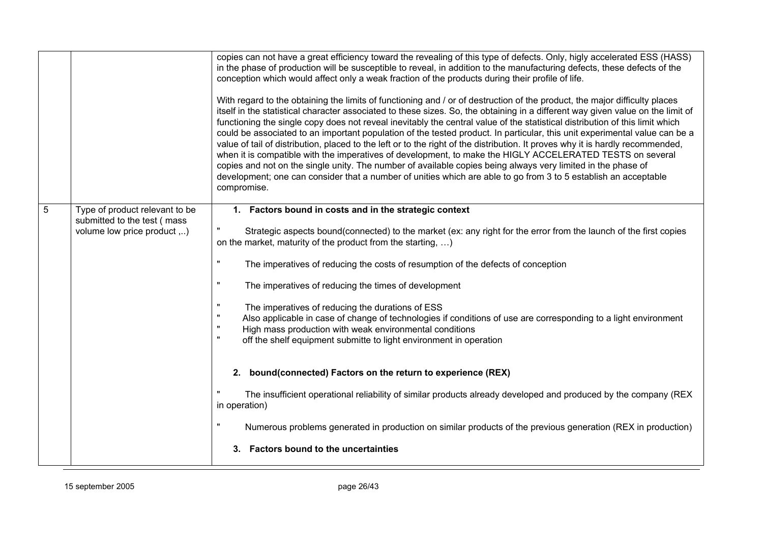|   |                                                                                              | copies can not have a great efficiency toward the revealing of this type of defects. Only, higly accelerated ESS (HASS)<br>in the phase of production will be susceptible to reveal, in addition to the manufacturing defects, these defects of the<br>conception which would affect only a weak fraction of the products during their profile of life.<br>With regard to the obtaining the limits of functioning and / or of destruction of the product, the major difficulty places<br>itself in the statistical character associated to these sizes. So, the obtaining in a different way given value on the limit of<br>functioning the single copy does not reveal inevitably the central value of the statistical distribution of this limit which<br>could be associated to an important population of the tested product. In particular, this unit experimental value can be a<br>value of tail of distribution, placed to the left or to the right of the distribution. It proves why it is hardly recommended,<br>when it is compatible with the imperatives of development, to make the HIGLY ACCELERATED TESTS on several<br>copies and not on the single unity. The number of available copies being always very limited in the phase of<br>development; one can consider that a number of unities which are able to go from 3 to 5 establish an acceptable<br>compromise. |
|---|----------------------------------------------------------------------------------------------|-----------------------------------------------------------------------------------------------------------------------------------------------------------------------------------------------------------------------------------------------------------------------------------------------------------------------------------------------------------------------------------------------------------------------------------------------------------------------------------------------------------------------------------------------------------------------------------------------------------------------------------------------------------------------------------------------------------------------------------------------------------------------------------------------------------------------------------------------------------------------------------------------------------------------------------------------------------------------------------------------------------------------------------------------------------------------------------------------------------------------------------------------------------------------------------------------------------------------------------------------------------------------------------------------------------------------------------------------------------------------------------------|
| 5 | Type of product relevant to be<br>submitted to the test (mass<br>volume low price product ,) | 1. Factors bound in costs and in the strategic context<br>Strategic aspects bound(connected) to the market (ex: any right for the error from the launch of the first copies<br>on the market, maturity of the product from the starting, )<br>The imperatives of reducing the costs of resumption of the defects of conception<br>The imperatives of reducing the times of development<br>The imperatives of reducing the durations of ESS<br>Also applicable in case of change of technologies if conditions of use are corresponding to a light environment<br>High mass production with weak environmental conditions<br>$\mathbf{u}$<br>off the shelf equipment submitte to light environment in operation<br>2. bound(connected) Factors on the return to experience (REX)                                                                                                                                                                                                                                                                                                                                                                                                                                                                                                                                                                                                         |
|   |                                                                                              | The insufficient operational reliability of similar products already developed and produced by the company (REX<br>in operation)<br>Numerous problems generated in production on similar products of the previous generation (REX in production)<br>3. Factors bound to the uncertainties                                                                                                                                                                                                                                                                                                                                                                                                                                                                                                                                                                                                                                                                                                                                                                                                                                                                                                                                                                                                                                                                                               |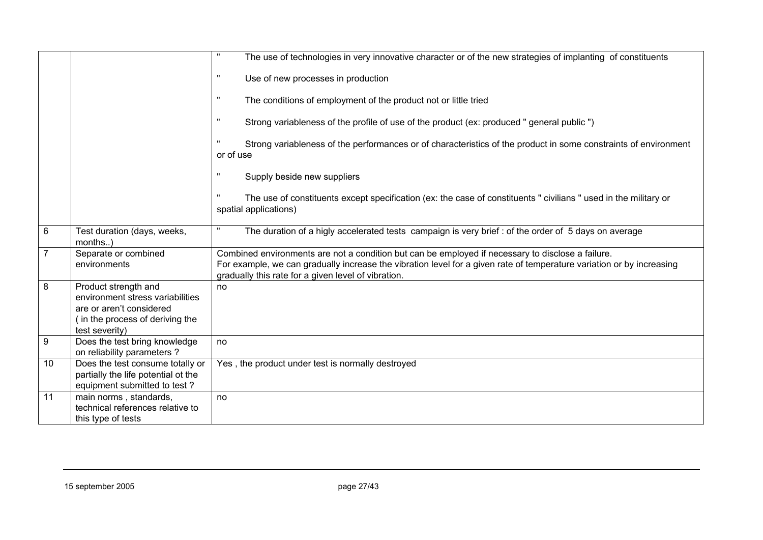|                |                                                                                                                                           | $\pmb{\mathsf{H}}$<br>The use of technologies in very innovative character or of the new strategies of implanting of constituents                                                                                                                                                 |
|----------------|-------------------------------------------------------------------------------------------------------------------------------------------|-----------------------------------------------------------------------------------------------------------------------------------------------------------------------------------------------------------------------------------------------------------------------------------|
|                |                                                                                                                                           | $\mathbf{H}$<br>Use of new processes in production                                                                                                                                                                                                                                |
|                |                                                                                                                                           | The conditions of employment of the product not or little tried                                                                                                                                                                                                                   |
|                |                                                                                                                                           | $\pmb{\mathsf{H}}$<br>Strong variableness of the profile of use of the product (ex: produced " general public ")                                                                                                                                                                  |
|                |                                                                                                                                           | Strong variableness of the performances or of characteristics of the product in some constraints of environment<br>or of use                                                                                                                                                      |
|                |                                                                                                                                           | $\pmb{\mathsf{H}}$<br>Supply beside new suppliers                                                                                                                                                                                                                                 |
|                |                                                                                                                                           | $\pmb{\mathsf{u}}$<br>The use of constituents except specification (ex: the case of constituents " civilians " used in the military or<br>spatial applications)                                                                                                                   |
| 6              | Test duration (days, weeks,<br>months)                                                                                                    | The duration of a higly accelerated tests campaign is very brief : of the order of 5 days on average                                                                                                                                                                              |
| $\overline{7}$ | Separate or combined<br>environments                                                                                                      | Combined environments are not a condition but can be employed if necessary to disclose a failure.<br>For example, we can gradually increase the vibration level for a given rate of temperature variation or by increasing<br>gradually this rate for a given level of vibration. |
| 8              | Product strength and<br>environment stress variabilities<br>are or aren't considered<br>(in the process of deriving the<br>test severity) | no                                                                                                                                                                                                                                                                                |
| 9              | Does the test bring knowledge<br>on reliability parameters?                                                                               | no                                                                                                                                                                                                                                                                                |
| 10             | Does the test consume totally or<br>partially the life potential ot the<br>equipment submitted to test?                                   | Yes, the product under test is normally destroyed                                                                                                                                                                                                                                 |
| 11             | main norms, standards,<br>technical references relative to<br>this type of tests                                                          | no                                                                                                                                                                                                                                                                                |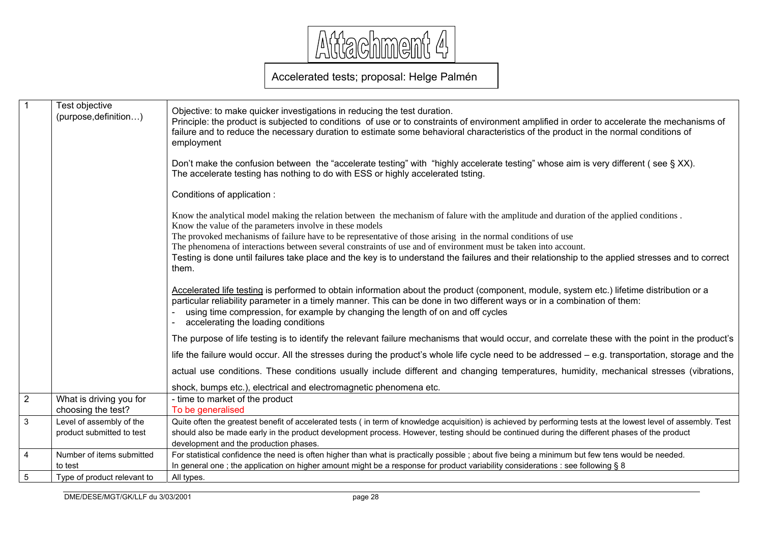

# Accelerated tests; proposal: Helge Palmén

| $\overline{1}$ | Test objective<br>(purpose, definition)               | Objective: to make quicker investigations in reducing the test duration.<br>Principle: the product is subjected to conditions of use or to constraints of environment amplified in order to accelerate the mechanisms of<br>failure and to reduce the necessary duration to estimate some behavioral characteristics of the product in the normal conditions of<br>employment                                                                                                                                                                                                                          |
|----------------|-------------------------------------------------------|--------------------------------------------------------------------------------------------------------------------------------------------------------------------------------------------------------------------------------------------------------------------------------------------------------------------------------------------------------------------------------------------------------------------------------------------------------------------------------------------------------------------------------------------------------------------------------------------------------|
|                |                                                       | Don't make the confusion between the "accelerate testing" with "highly accelerate testing" whose aim is very different (see § XX).<br>The accelerate testing has nothing to do with ESS or highly accelerated tsting.                                                                                                                                                                                                                                                                                                                                                                                  |
|                |                                                       | Conditions of application:                                                                                                                                                                                                                                                                                                                                                                                                                                                                                                                                                                             |
|                |                                                       | Know the analytical model making the relation between the mechanism of falure with the amplitude and duration of the applied conditions.<br>Know the value of the parameters involve in these models<br>The provoked mechanisms of failure have to be representative of those arising in the normal conditions of use<br>The phenomena of interactions between several constraints of use and of environment must be taken into account.<br>Testing is done until failures take place and the key is to understand the failures and their relationship to the applied stresses and to correct<br>them. |
|                |                                                       | Accelerated life testing is performed to obtain information about the product (component, module, system etc.) lifetime distribution or a<br>particular reliability parameter in a timely manner. This can be done in two different ways or in a combination of them:<br>using time compression, for example by changing the length of on and off cycles<br>accelerating the loading conditions                                                                                                                                                                                                        |
|                |                                                       | The purpose of life testing is to identify the relevant failure mechanisms that would occur, and correlate these with the point in the product's                                                                                                                                                                                                                                                                                                                                                                                                                                                       |
|                |                                                       | life the failure would occur. All the stresses during the product's whole life cycle need to be addressed - e.g. transportation, storage and the                                                                                                                                                                                                                                                                                                                                                                                                                                                       |
|                |                                                       | actual use conditions. These conditions usually include different and changing temperatures, humidity, mechanical stresses (vibrations,                                                                                                                                                                                                                                                                                                                                                                                                                                                                |
|                |                                                       | shock, bumps etc.), electrical and electromagnetic phenomena etc.                                                                                                                                                                                                                                                                                                                                                                                                                                                                                                                                      |
| $\overline{2}$ | What is driving you for<br>choosing the test?         | - time to market of the product<br>To be generalised                                                                                                                                                                                                                                                                                                                                                                                                                                                                                                                                                   |
| $\mathbf{3}$   | Level of assembly of the<br>product submitted to test | Quite often the greatest benefit of accelerated tests (in term of knowledge acquisition) is achieved by performing tests at the lowest level of assembly. Test<br>should also be made early in the product development process. However, testing should be continued during the different phases of the product<br>development and the production phases.                                                                                                                                                                                                                                              |
| $\overline{4}$ | Number of items submitted<br>to test                  | For statistical confidence the need is often higher than what is practically possible; about five being a minimum but few tens would be needed.<br>In general one; the application on higher amount might be a response for product variability considerations : see following § 8                                                                                                                                                                                                                                                                                                                     |
| $\overline{5}$ | Type of product relevant to                           | All types.                                                                                                                                                                                                                                                                                                                                                                                                                                                                                                                                                                                             |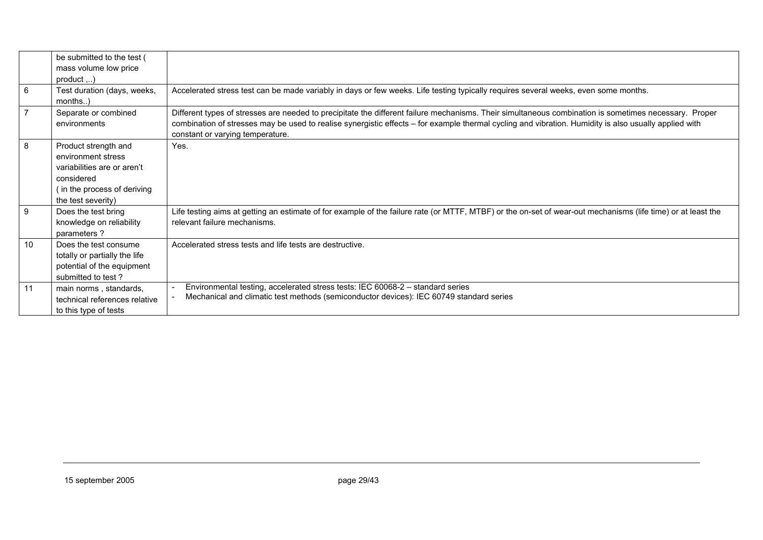|                | be submitted to the test (<br>mass volume low price |                                                                                                                                                              |
|----------------|-----------------------------------------------------|--------------------------------------------------------------------------------------------------------------------------------------------------------------|
|                | $product$ )                                         |                                                                                                                                                              |
| 6              | Test duration (days, weeks,                         | Accelerated stress test can be made variably in days or few weeks. Life testing typically requires several weeks, even some months.                          |
|                | $months$ )                                          |                                                                                                                                                              |
| $\overline{7}$ | Separate or combined                                | Different types of stresses are needed to precipitate the different failure mechanisms. Their simultaneous combination is sometimes necessary. Proper        |
|                | environments                                        | combination of stresses may be used to realise synergistic effects - for example thermal cycling and vibration. Humidity is also usually applied with        |
|                |                                                     | constant or varying temperature.                                                                                                                             |
| 8              | Product strength and                                | Yes.                                                                                                                                                         |
|                | environment stress                                  |                                                                                                                                                              |
|                | variabilities are or aren't                         |                                                                                                                                                              |
|                | considered                                          |                                                                                                                                                              |
|                | (in the process of deriving                         |                                                                                                                                                              |
|                | the test severity)                                  |                                                                                                                                                              |
| 9              | Does the test bring                                 | Life testing aims at getting an estimate of for example of the failure rate (or MTTF, MTBF) or the on-set of wear-out mechanisms (life time) or at least the |
|                | knowledge on reliability                            | relevant failure mechanisms.                                                                                                                                 |
|                | parameters?                                         |                                                                                                                                                              |
| 10             | Does the test consume                               | Accelerated stress tests and life tests are destructive.                                                                                                     |
|                | totally or partially the life                       |                                                                                                                                                              |
|                | potential of the equipment                          |                                                                                                                                                              |
|                | submitted to test?                                  |                                                                                                                                                              |
| 11             | main norms, standards,                              | Environmental testing, accelerated stress tests: IEC 60068-2 – standard series                                                                               |
|                | technical references relative                       | Mechanical and climatic test methods (semiconductor devices): IEC 60749 standard series                                                                      |
|                | to this type of tests                               |                                                                                                                                                              |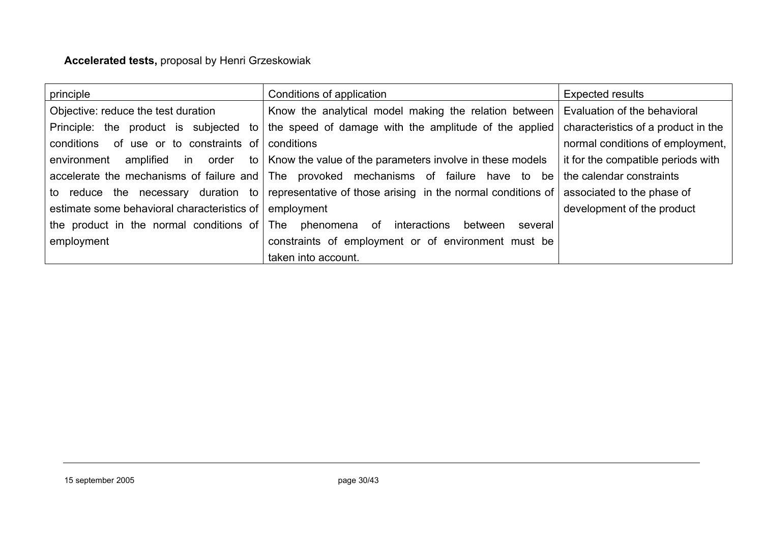# **Accelerated tests,** proposal by Henri Grzeskowiak

| principle                                                | Conditions of application                                                                                                  | <b>Expected results</b>             |
|----------------------------------------------------------|----------------------------------------------------------------------------------------------------------------------------|-------------------------------------|
| Objective: reduce the test duration                      | Know the analytical model making the relation between Evaluation of the behavioral                                         |                                     |
| Principle: the product is subjected to                   | the speed of damage with the amplitude of the applied                                                                      | characteristics of a product in the |
| of use or to constraints of<br>conditions                | conditions                                                                                                                 | normal conditions of employment,    |
| environment<br>amplified in order                        | to   Know the value of the parameters involve in these models                                                              | it for the compatible periods with  |
|                                                          | accelerate the mechanisms of failure and The provoked mechanisms of failure have to be                                     | the calendar constraints            |
|                                                          | to reduce the necessary duration to representative of those arising in the normal conditions of associated to the phase of |                                     |
| estimate some behavioral characteristics of              | employment                                                                                                                 | development of the product          |
| the product in the normal conditions of The phenomena of | interactions<br>between<br>several                                                                                         |                                     |
| employment                                               | constraints of employment or of environment must be                                                                        |                                     |
|                                                          | taken into account.                                                                                                        |                                     |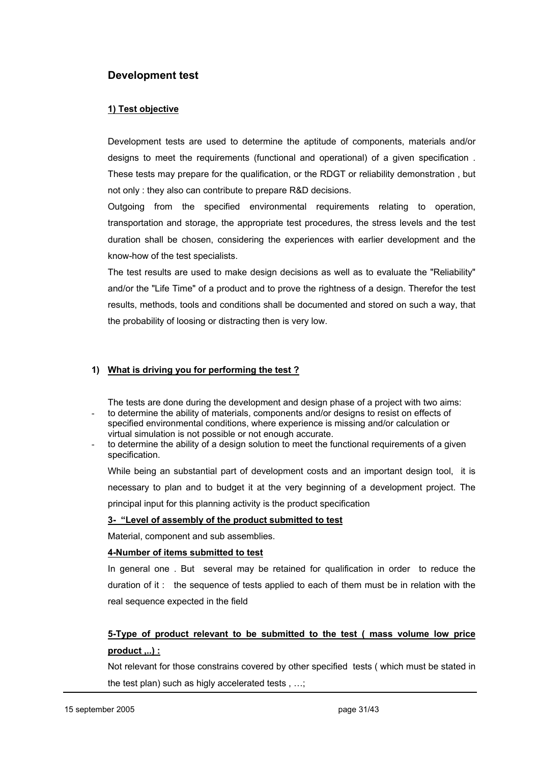#### **Development test**

#### **1) Test objective**

Development tests are used to determine the aptitude of components, materials and/or designs to meet the requirements (functional and operational) of a given specification . These tests may prepare for the qualification, or the RDGT or reliability demonstration , but not only : they also can contribute to prepare R&D decisions.

Outgoing from the specified environmental requirements relating to operation, transportation and storage, the appropriate test procedures, the stress levels and the test duration shall be chosen, considering the experiences with earlier development and the know-how of the test specialists.

The test results are used to make design decisions as well as to evaluate the "Reliability" and/or the "Life Time" of a product and to prove the rightness of a design. Therefor the test results, methods, tools and conditions shall be documented and stored on such a way, that the probability of loosing or distracting then is very low.

#### **1) What is driving you for performing the test ?**

The tests are done during the development and design phase of a project with two aims: to determine the ability of materials, components and/or designs to resist on effects of specified environmental conditions, where experience is missing and/or calculation or

- virtual simulation is not possible or not enough accurate.
- to determine the ability of a design solution to meet the functional requirements of a given specification.

While being an substantial part of development costs and an important design tool, it is necessary to plan and to budget it at the very beginning of a development project. The principal input for this planning activity is the product specification

#### **3- "Level of assembly of the product submitted to test**

Material, component and sub assemblies.

#### **4-Number of items submitted to test**

In general one . But several may be retained for qualification in order to reduce the duration of it : the sequence of tests applied to each of them must be in relation with the real sequence expected in the field

## **5-Type of product relevant to be submitted to the test ( mass volume low price product ,..) :**

Not relevant for those constrains covered by other specified tests ( which must be stated in the test plan) such as higly accelerated tests , …;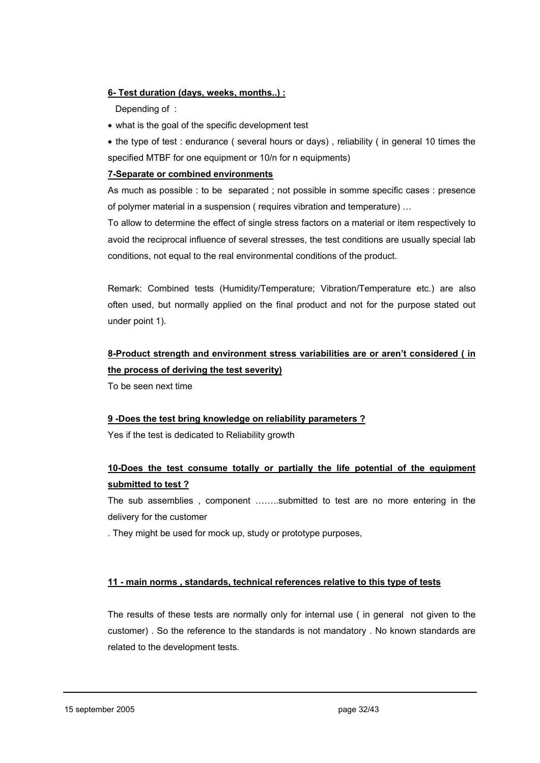#### **6- Test duration (days, weeks, months..) :**

Depending of :

- what is the goal of the specific development test
- the type of test : endurance ( several hours or days) , reliability ( in general 10 times the specified MTBF for one equipment or 10/n for n equipments)

#### **7-Separate or combined environments**

As much as possible : to be separated ; not possible in somme specific cases : presence of polymer material in a suspension ( requires vibration and temperature) …

To allow to determine the effect of single stress factors on a material or item respectively to avoid the reciprocal influence of several stresses, the test conditions are usually special lab conditions, not equal to the real environmental conditions of the product.

Remark: Combined tests (Humidity/Temperature; Vibration/Temperature etc.) are also often used, but normally applied on the final product and not for the purpose stated out under point 1).

# **8-Product strength and environment stress variabilities are or aren't considered ( in the process of deriving the test severity)**

To be seen next time

#### **9 -Does the test bring knowledge on reliability parameters ?**

Yes if the test is dedicated to Reliability growth

## **10-Does the test consume totally or partially the life potential of the equipment submitted to test ?**

The sub assemblies , component ……..submitted to test are no more entering in the delivery for the customer

. They might be used for mock up, study or prototype purposes,

#### **11 - main norms , standards, technical references relative to this type of tests**

The results of these tests are normally only for internal use ( in general not given to the customer) . So the reference to the standards is not mandatory . No known standards are related to the development tests.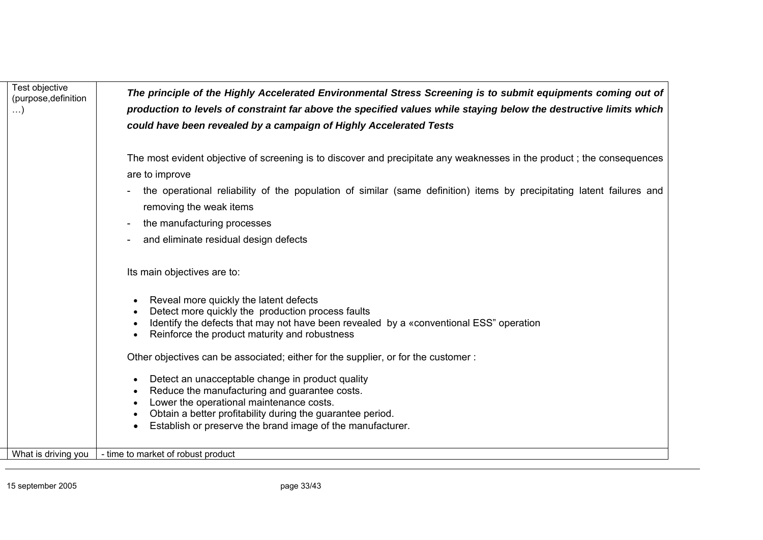| Test objective<br>(purpose, definition<br>$\ldots$ | The principle of the Highly Accelerated Environmental Stress Screening is to submit equipments coming out of<br>production to levels of constraint far above the specified values while staying below the destructive limits which<br>could have been revealed by a campaign of Highly Accelerated Tests |
|----------------------------------------------------|----------------------------------------------------------------------------------------------------------------------------------------------------------------------------------------------------------------------------------------------------------------------------------------------------------|
|                                                    | The most evident objective of screening is to discover and precipitate any weaknesses in the product; the consequences<br>are to improve                                                                                                                                                                 |
|                                                    | the operational reliability of the population of similar (same definition) items by precipitating latent failures and<br>removing the weak items                                                                                                                                                         |
|                                                    | the manufacturing processes                                                                                                                                                                                                                                                                              |
|                                                    | and eliminate residual design defects                                                                                                                                                                                                                                                                    |
|                                                    | Its main objectives are to:                                                                                                                                                                                                                                                                              |
|                                                    | Reveal more quickly the latent defects<br>$\bullet$<br>Detect more quickly the production process faults                                                                                                                                                                                                 |
|                                                    | Identify the defects that may not have been revealed by a «conventional ESS" operation<br>$\bullet$<br>Reinforce the product maturity and robustness                                                                                                                                                     |
|                                                    | Other objectives can be associated; either for the supplier, or for the customer:                                                                                                                                                                                                                        |
|                                                    | Detect an unacceptable change in product quality<br>$\bullet$                                                                                                                                                                                                                                            |
|                                                    | Reduce the manufacturing and guarantee costs.<br>$\bullet$<br>Lower the operational maintenance costs.                                                                                                                                                                                                   |
|                                                    | Obtain a better profitability during the guarantee period.                                                                                                                                                                                                                                               |
|                                                    | Establish or preserve the brand image of the manufacturer.                                                                                                                                                                                                                                               |
| What is driving you                                | - time to market of robust product                                                                                                                                                                                                                                                                       |

l,

٠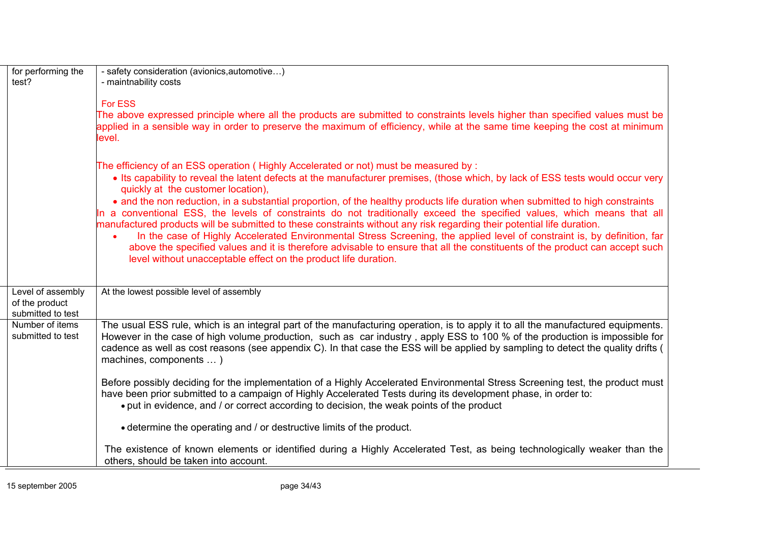| for performing the<br>test?                              | - safety consideration (avionics, automotive)<br>- maintnability costs                                                                                                                                                                                                                                                                                                                                                                                                                                                                                                                                                                                                                                                                                                                                                                                                                                                                                                            |  |
|----------------------------------------------------------|-----------------------------------------------------------------------------------------------------------------------------------------------------------------------------------------------------------------------------------------------------------------------------------------------------------------------------------------------------------------------------------------------------------------------------------------------------------------------------------------------------------------------------------------------------------------------------------------------------------------------------------------------------------------------------------------------------------------------------------------------------------------------------------------------------------------------------------------------------------------------------------------------------------------------------------------------------------------------------------|--|
|                                                          | <b>For ESS</b><br>The above expressed principle where all the products are submitted to constraints levels higher than specified values must be<br>applied in a sensible way in order to preserve the maximum of efficiency, while at the same time keeping the cost at minimum<br>level.                                                                                                                                                                                                                                                                                                                                                                                                                                                                                                                                                                                                                                                                                         |  |
|                                                          | The efficiency of an ESS operation (Highly Accelerated or not) must be measured by:<br>• Its capability to reveal the latent defects at the manufacturer premises, (those which, by lack of ESS tests would occur very<br>quickly at the customer location),<br>• and the non reduction, in a substantial proportion, of the healthy products life duration when submitted to high constraints<br>In a conventional ESS, the levels of constraints do not traditionally exceed the specified values, which means that all<br>manufactured products will be submitted to these constraints without any risk regarding their potential life duration.<br>In the case of Highly Accelerated Environmental Stress Screening, the applied level of constraint is, by definition, far<br>above the specified values and it is therefore advisable to ensure that all the constituents of the product can accept such<br>level without unacceptable effect on the product life duration. |  |
| Level of assembly<br>of the product<br>submitted to test | At the lowest possible level of assembly                                                                                                                                                                                                                                                                                                                                                                                                                                                                                                                                                                                                                                                                                                                                                                                                                                                                                                                                          |  |
| Number of items<br>submitted to test                     | The usual ESS rule, which is an integral part of the manufacturing operation, is to apply it to all the manufactured equipments.<br>However in the case of high volume production, such as car industry, apply ESS to 100 % of the production is impossible for<br>cadence as well as cost reasons (see appendix C). In that case the ESS will be applied by sampling to detect the quality drifts (<br>machines, components  )                                                                                                                                                                                                                                                                                                                                                                                                                                                                                                                                                   |  |
|                                                          | Before possibly deciding for the implementation of a Highly Accelerated Environmental Stress Screening test, the product must<br>have been prior submitted to a campaign of Highly Accelerated Tests during its development phase, in order to:<br>• put in evidence, and / or correct according to decision, the weak points of the product                                                                                                                                                                                                                                                                                                                                                                                                                                                                                                                                                                                                                                      |  |
|                                                          | • determine the operating and / or destructive limits of the product.                                                                                                                                                                                                                                                                                                                                                                                                                                                                                                                                                                                                                                                                                                                                                                                                                                                                                                             |  |
|                                                          | The existence of known elements or identified during a Highly Accelerated Test, as being technologically weaker than the<br>others, should be taken into account.                                                                                                                                                                                                                                                                                                                                                                                                                                                                                                                                                                                                                                                                                                                                                                                                                 |  |

L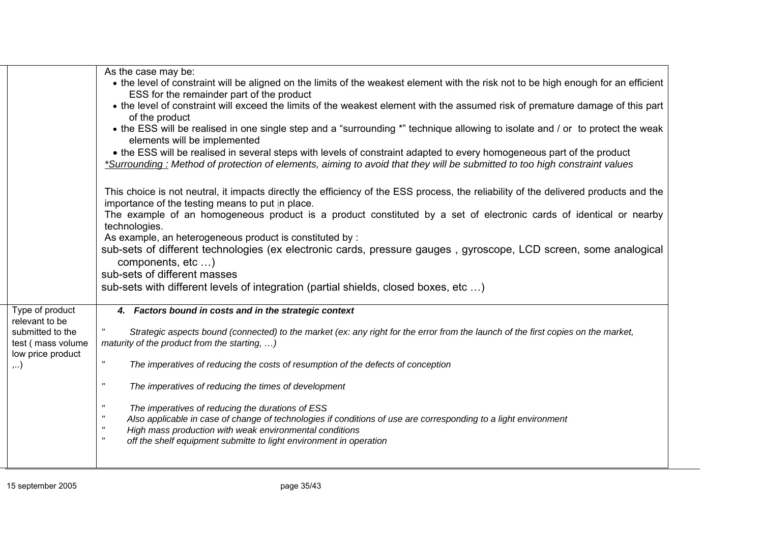|                                                                                                                | As the case may be:<br>• the level of constraint will be aligned on the limits of the weakest element with the risk not to be high enough for an efficient<br>ESS for the remainder part of the product<br>• the level of constraint will exceed the limits of the weakest element with the assumed risk of premature damage of this part<br>of the product<br>• the ESS will be realised in one single step and a "surrounding *" technique allowing to isolate and / or to protect the weak<br>elements will be implemented<br>• the ESS will be realised in several steps with levels of constraint adapted to every homogeneous part of the product<br>*Surrounding: Method of protection of elements, aiming to avoid that they will be submitted to too high constraint values<br>This choice is not neutral, it impacts directly the efficiency of the ESS process, the reliability of the delivered products and the<br>importance of the testing means to put in place. |
|----------------------------------------------------------------------------------------------------------------|----------------------------------------------------------------------------------------------------------------------------------------------------------------------------------------------------------------------------------------------------------------------------------------------------------------------------------------------------------------------------------------------------------------------------------------------------------------------------------------------------------------------------------------------------------------------------------------------------------------------------------------------------------------------------------------------------------------------------------------------------------------------------------------------------------------------------------------------------------------------------------------------------------------------------------------------------------------------------------|
|                                                                                                                | The example of an homogeneous product is a product constituted by a set of electronic cards of identical or nearby<br>technologies.<br>As example, an heterogeneous product is constituted by :<br>sub-sets of different technologies (ex electronic cards, pressure gauges, gyroscope, LCD screen, some analogical<br>components, etc )<br>sub-sets of different masses<br>sub-sets with different levels of integration (partial shields, closed boxes, etc )                                                                                                                                                                                                                                                                                                                                                                                                                                                                                                                  |
| Type of product<br>relevant to be<br>submitted to the<br>test (mass volume<br>low price product<br>$, \ldots)$ | 4. Factors bound in costs and in the strategic context<br>Strategic aspects bound (connected) to the market (ex: any right for the error from the launch of the first copies on the market,<br>maturity of the product from the starting, )<br>$\pmb{\mathsf{H}}$<br>The imperatives of reducing the costs of resumption of the defects of conception<br>"<br>The imperatives of reducing the times of development<br>$\pmb{\mathsf{H}}$<br>The imperatives of reducing the durations of ESS<br>$\pmb{\mathsf{H}}$<br>Also applicable in case of change of technologies if conditions of use are corresponding to a light environment<br>$\pmb{\mathsf{H}}$<br>High mass production with weak environmental conditions<br>$\pmb{\mathsf{H}}$<br>off the shelf equipment submitte to light environment in operation                                                                                                                                                               |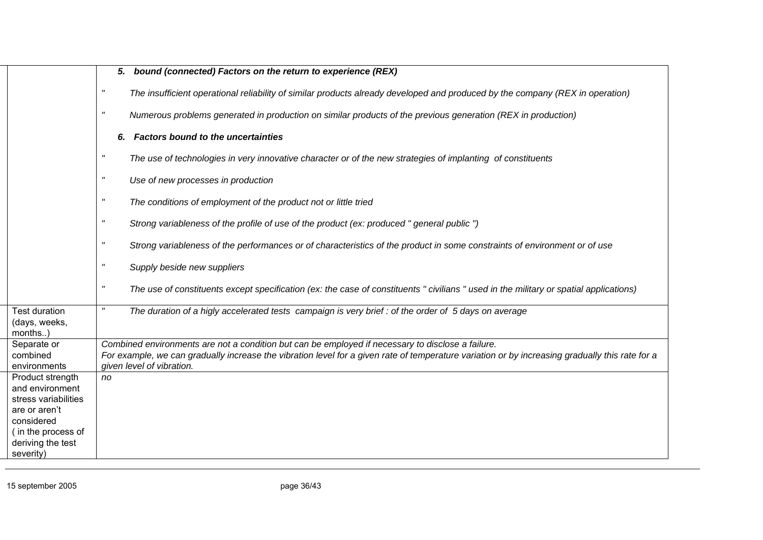|                                       | 5. bound (connected) Factors on the return to experience (REX)                                                                                                    |  |
|---------------------------------------|-------------------------------------------------------------------------------------------------------------------------------------------------------------------|--|
|                                       | $\mathbf{u}$<br>The insufficient operational reliability of similar products already developed and produced by the company (REX in operation)                     |  |
|                                       | $\mathbf{u}$<br>Numerous problems generated in production on similar products of the previous generation (REX in production)                                      |  |
|                                       | <b>Factors bound to the uncertainties</b><br>6.                                                                                                                   |  |
|                                       | $\pmb{\mathsf{H}}$<br>The use of technologies in very innovative character or of the new strategies of implanting of constituents                                 |  |
|                                       | $\pmb{\mathsf{H}}$<br>Use of new processes in production                                                                                                          |  |
|                                       | $\boldsymbol{\mathsf{H}}$<br>The conditions of employment of the product not or little tried                                                                      |  |
|                                       | $\pmb{\mathsf{H}}$<br>Strong variableness of the profile of use of the product (ex: produced " general public ")                                                  |  |
|                                       | $\boldsymbol{\mathsf{H}}$<br>Strong variableness of the performances or of characteristics of the product in some constraints of environment or of use            |  |
|                                       | $\mathbf{u}$<br>Supply beside new suppliers                                                                                                                       |  |
|                                       | $\boldsymbol{\mathsf{H}}$<br>The use of constituents except specification (ex: the case of constituents "civilians" used in the military or spatial applications) |  |
| <b>Test duration</b><br>(days, weeks, | The duration of a higly accelerated tests campaign is very brief : of the order of 5 days on average                                                              |  |
| months)                               |                                                                                                                                                                   |  |
| Separate or                           | Combined environments are not a condition but can be employed if necessary to disclose a failure.                                                                 |  |
| combined                              | For example, we can gradually increase the vibration level for a given rate of temperature variation or by increasing gradually this rate for a                   |  |
| environments<br>Product strength      | given level of vibration.<br>no                                                                                                                                   |  |
| and environment                       |                                                                                                                                                                   |  |
| stress variabilities                  |                                                                                                                                                                   |  |
| are or aren't                         |                                                                                                                                                                   |  |
| considered                            |                                                                                                                                                                   |  |
| (in the process of                    |                                                                                                                                                                   |  |
| deriving the test                     |                                                                                                                                                                   |  |
| severity)                             |                                                                                                                                                                   |  |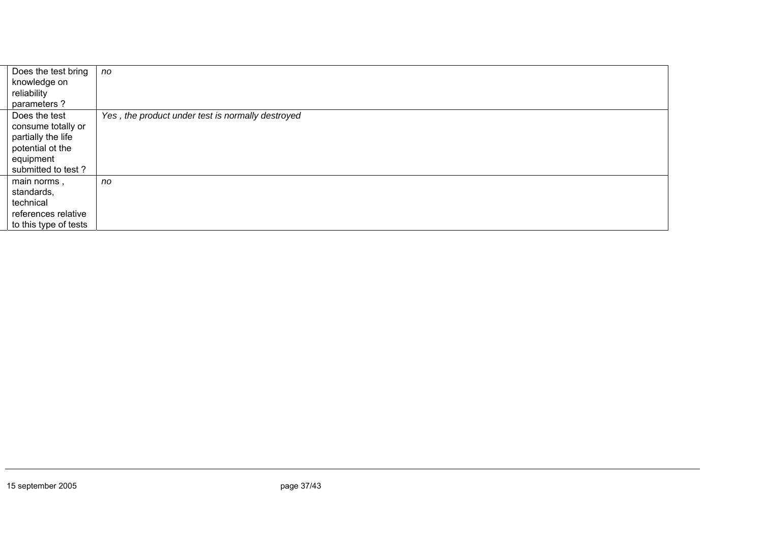| Does the test bring   | no                                                |
|-----------------------|---------------------------------------------------|
| knowledge on          |                                                   |
| reliability           |                                                   |
| parameters?           |                                                   |
| Does the test         | Yes, the product under test is normally destroyed |
| consume totally or    |                                                   |
| partially the life    |                                                   |
| potential ot the      |                                                   |
| equipment             |                                                   |
| submitted to test?    |                                                   |
| main norms,           | no                                                |
| standards,            |                                                   |
| technical             |                                                   |
| references relative   |                                                   |
| to this type of tests |                                                   |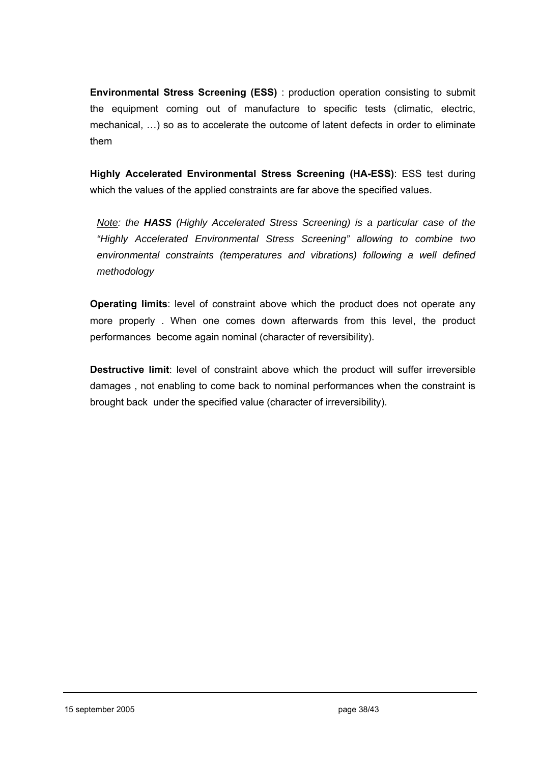**Environmental Stress Screening (ESS)** : production operation consisting to submit the equipment coming out of manufacture to specific tests (climatic, electric, mechanical, …) so as to accelerate the outcome of latent defects in order to eliminate them

**Highly Accelerated Environmental Stress Screening (HA-ESS)**: ESS test during which the values of the applied constraints are far above the specified values.

*Note: the HASS (Highly Accelerated Stress Screening) is a particular case of the "Highly Accelerated Environmental Stress Screening" allowing to combine two environmental constraints (temperatures and vibrations) following a well defined methodology* 

**Operating limits**: level of constraint above which the product does not operate any more properly . When one comes down afterwards from this level, the product performances become again nominal (character of reversibility).

**Destructive limit**: level of constraint above which the product will suffer irreversible damages , not enabling to come back to nominal performances when the constraint is brought back under the specified value (character of irreversibility).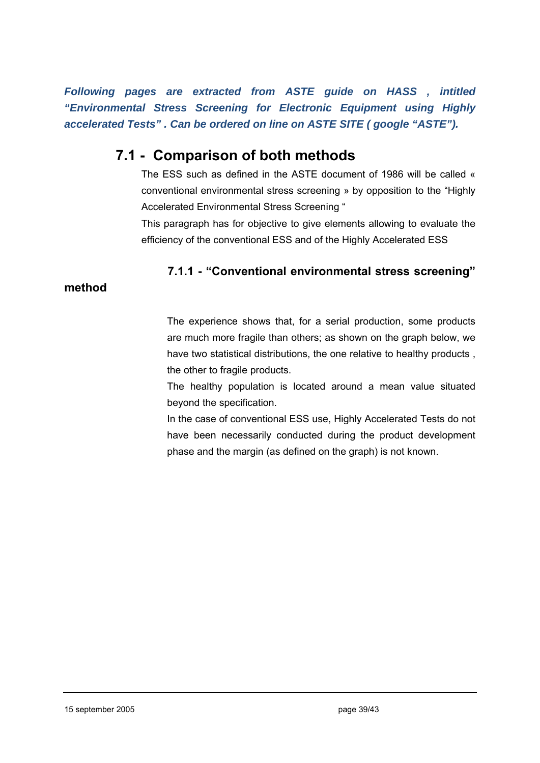*Following pages are extracted from ASTE guide on HASS , intitled "Environmental Stress Screening for Electronic Equipment using Highly accelerated Tests" . Can be ordered on line on ASTE SITE ( google "ASTE").* 

# **7.1 - Comparison of both methods**

The ESS such as defined in the ASTE document of 1986 will be called « conventional environmental stress screening » by opposition to the "Highly Accelerated Environmental Stress Screening "

This paragraph has for objective to give elements allowing to evaluate the efficiency of the conventional ESS and of the Highly Accelerated ESS

# **7.1.1 - "Conventional environmental stress screening"**

## **method**

The experience shows that, for a serial production, some products are much more fragile than others; as shown on the graph below, we have two statistical distributions, the one relative to healthy products , the other to fragile products.

The healthy population is located around a mean value situated beyond the specification.

In the case of conventional ESS use, Highly Accelerated Tests do not have been necessarily conducted during the product development phase and the margin (as defined on the graph) is not known.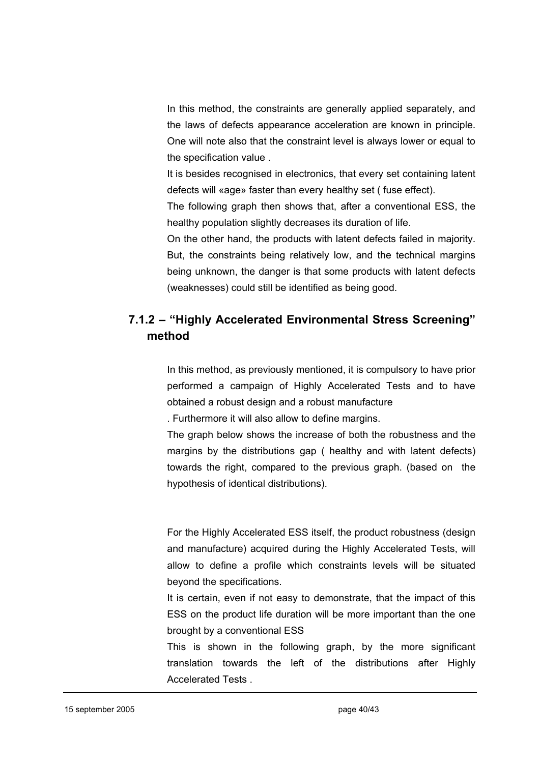In this method, the constraints are generally applied separately, and the laws of defects appearance acceleration are known in principle. One will note also that the constraint level is always lower or equal to the specification value .

It is besides recognised in electronics, that every set containing latent defects will «age» faster than every healthy set ( fuse effect).

The following graph then shows that, after a conventional ESS, the healthy population slightly decreases its duration of life.

On the other hand, the products with latent defects failed in majority. But, the constraints being relatively low, and the technical margins being unknown, the danger is that some products with latent defects (weaknesses) could still be identified as being good.

# **7.1.2 – "Highly Accelerated Environmental Stress Screening" method**

In this method, as previously mentioned, it is compulsory to have prior performed a campaign of Highly Accelerated Tests and to have obtained a robust design and a robust manufacture

. Furthermore it will also allow to define margins.

The graph below shows the increase of both the robustness and the margins by the distributions gap ( healthy and with latent defects) towards the right, compared to the previous graph. (based on the hypothesis of identical distributions).

For the Highly Accelerated ESS itself, the product robustness (design and manufacture) acquired during the Highly Accelerated Tests, will allow to define a profile which constraints levels will be situated beyond the specifications.

It is certain, even if not easy to demonstrate, that the impact of this ESS on the product life duration will be more important than the one brought by a conventional ESS

This is shown in the following graph, by the more significant translation towards the left of the distributions after Highly Accelerated Tests .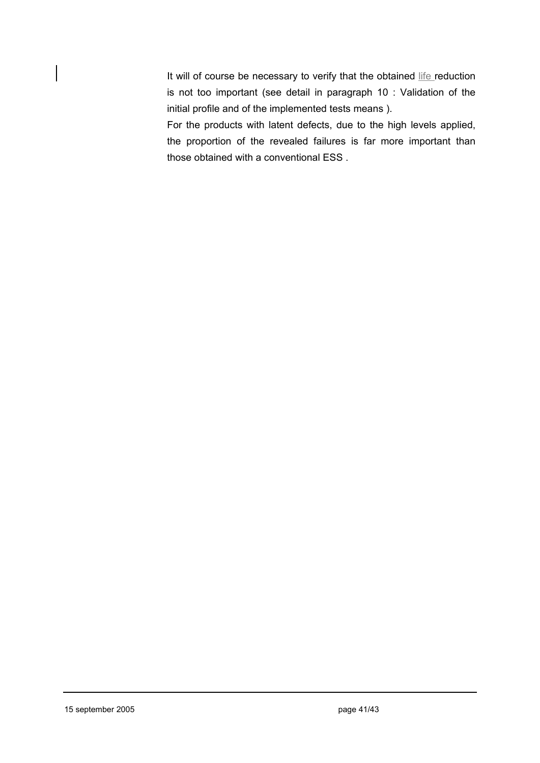It will of course be necessary to verify that the obtained life reduction is not too important (see detail in paragraph 10 : Validation of the initial profile and of the implemented tests means ).

For the products with latent defects, due to the high levels applied, the proportion of the revealed failures is far more important than those obtained with a conventional ESS .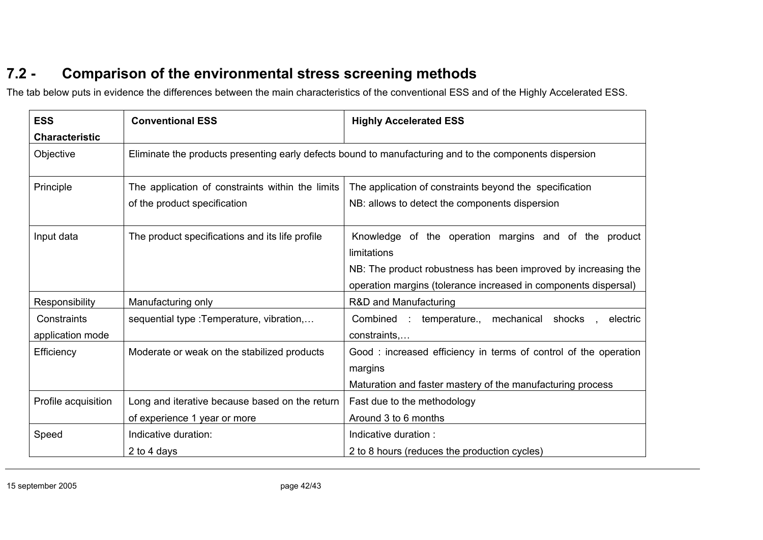# **7.2 - Comparison of the environmental stress screening methods**

The tab below puts in evidence the differences between the main characteristics of the conventional ESS and of the Highly Accelerated ESS.

| <b>ESS</b>                         | <b>Conventional ESS</b>                                                                                 | <b>Highly Accelerated ESS</b>                                                                                                                                                                             |
|------------------------------------|---------------------------------------------------------------------------------------------------------|-----------------------------------------------------------------------------------------------------------------------------------------------------------------------------------------------------------|
| <b>Characteristic</b><br>Objective | Eliminate the products presenting early defects bound to manufacturing and to the components dispersion |                                                                                                                                                                                                           |
| Principle                          | The application of constraints within the limits<br>of the product specification                        | The application of constraints beyond the specification<br>NB: allows to detect the components dispersion                                                                                                 |
| Input data                         | The product specifications and its life profile                                                         | Knowledge of the operation margins and of the product<br>limitations<br>NB: The product robustness has been improved by increasing the<br>operation margins (tolerance increased in components dispersal) |
| Responsibility                     | Manufacturing only                                                                                      | R&D and Manufacturing                                                                                                                                                                                     |
| Constraints<br>application mode    | sequential type : Temperature, vibration,                                                               | Combined : temperature., mechanical shocks<br>electric<br>constraints                                                                                                                                     |
| Efficiency                         | Moderate or weak on the stabilized products                                                             | Good: increased efficiency in terms of control of the operation<br>margins<br>Maturation and faster mastery of the manufacturing process                                                                  |
| Profile acquisition                | Long and iterative because based on the return<br>of experience 1 year or more                          | Fast due to the methodology<br>Around 3 to 6 months                                                                                                                                                       |
| Speed                              | Indicative duration:<br>2 to 4 days                                                                     | Indicative duration:<br>2 to 8 hours (reduces the production cycles)                                                                                                                                      |